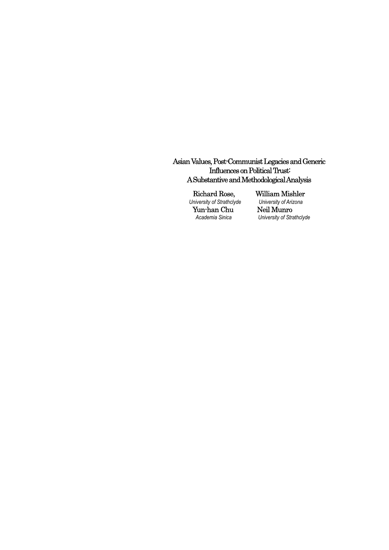## Asian Values, Post-Communist Legacies and Generic Influences on Political Trust: A Substantive and Methodological Analysis

Richard Rose, William Mishler<br>
Iniversity of Strathclyde University of Arizona *University of Strathclyde University of Ariz*<br> **Yun-han Chu Neil Munro** Yun-han Chu<br>Academia Sinica

*Aniversity of Strathclyde*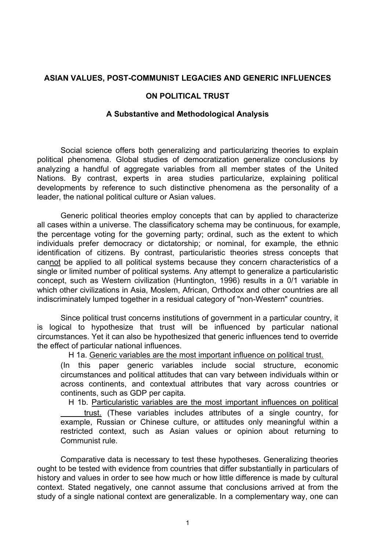## **ASIAN VALUES, POST-COMMUNIST LEGACIES AND GENERIC INFLUENCES**

#### **ON POLITICAL TRUST**

#### **A Substantive and Methodological Analysis**

 Social science offers both generalizing and particularizing theories to explain political phenomena. Global studies of democratization generalize conclusions by analyzing a handful of aggregate variables from all member states of the United Nations. By contrast, experts in area studies particularize, explaining political developments by reference to such distinctive phenomena as the personality of a leader, the national political culture or Asian values.

 Generic political theories employ concepts that can by applied to characterize all cases within a universe. The classificatory schema may be continuous, for example, the percentage voting for the governing party; ordinal, such as the extent to which individuals prefer democracy or dictatorship; or nominal, for example, the ethnic identification of citizens. By contrast, particularistic theories stress concepts that cannot be applied to all political systems because they concern characteristics of a single or limited number of political systems. Any attempt to generalize a particularistic concept, such as Western civilization (Huntington, 1996) results in a 0/1 variable in which other civilizations in Asia, Moslem, African, Orthodox and other countries are all indiscriminately lumped together in a residual category of "non-Western" countries.

 Since political trust concerns institutions of government in a particular country, it is logical to hypothesize that trust will be influenced by particular national circumstances. Yet it can also be hypothesized that generic influences tend to override the effect of particular national influences.

H 1a. Generic variables are the most important influence on political trust.

(In this paper generic variables include social structure, economic circumstances and political attitudes that can vary between individuals within or across continents, and contextual attributes that vary across countries or continents, such as GDP per capita.

H 1b. Particularistic variables are the most important influences on political trust. (These variables includes attributes of a single country, for example, Russian or Chinese culture, or attitudes only meaningful within a restricted context, such as Asian values or opinion about returning to Communist rule.

 Comparative data is necessary to test these hypotheses. Generalizing theories ought to be tested with evidence from countries that differ substantially in particulars of history and values in order to see how much or how little difference is made by cultural context. Stated negatively, one cannot assume that conclusions arrived at from the study of a single national context are generalizable. In a complementary way, one can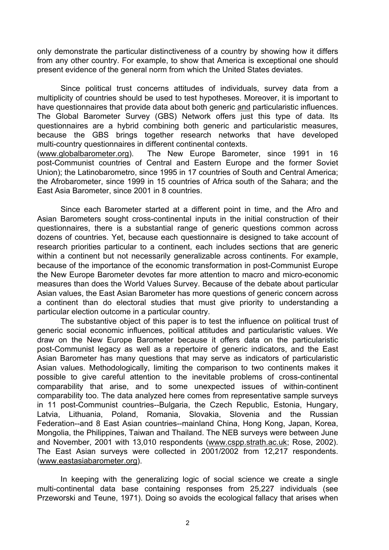only demonstrate the particular distinctiveness of a country by showing how it differs from any other country. For example, to show that America is exceptional one should present evidence of the general norm from which the United States deviates.

 Since political trust concerns attitudes of individuals, survey data from a multiplicity of countries should be used to test hypotheses. Moreover, it is important to have questionnaires that provide data about both generic and particularistic influences. The Global Barometer Survey (GBS) Network offers just this type of data. Its questionnaires are a hybrid combining both generic and particularistic measures, because the GBS brings together research networks that have developed multi-country questionnaires in different continental contexts.

(www.globalbarometer.org). The New Europe Barometer, since 1991 in 16 post-Communist countries of Central and Eastern Europe and the former Soviet Union); the Latinobarometro, since 1995 in 17 countries of South and Central America; the Afrobarometer, since 1999 in 15 countries of Africa south of the Sahara; and the East Asia Barometer, since 2001 in 8 countries.

 Since each Barometer started at a different point in time, and the Afro and Asian Barometers sought cross-continental inputs in the initial construction of their questionnaires, there is a substantial range of generic questions common across dozens of countries. Yet, because each questionnaire is designed to take account of research priorities particular to a continent, each includes sections that are generic within a continent but not necessarily generalizable across continents. For example, because of the importance of the economic transformation in post-Communist Europe the New Europe Barometer devotes far more attention to macro and micro-economic measures than does the World Values Survey. Because of the debate about particular Asian values, the East Asian Barometer has more questions of generic concern across a continent than do electoral studies that must give priority to understanding a particular election outcome in a particular country.

 The substantive object of this paper is to test the influence on political trust of generic social economic influences, political attitudes and particularistic values. We draw on the New Europe Barometer because it offers data on the particularistic post-Communist legacy as well as a repertoire of generic indicators, and the East Asian Barometer has many questions that may serve as indicators of particularistic Asian values. Methodologically, limiting the comparison to two continents makes it possible to give careful attention to the inevitable problems of cross-continental comparability that arise, and to some unexpected issues of within-continent comparability too. The data analyzed here comes from representative sample surveys in 11 post-Communist countries--Bulgaria, the Czech Republic, Estonia, Hungary, Latvia, Lithuania, Poland, Romania, Slovakia, Slovenia and the Russian Federation--and 8 East Asian countries--mainland China, Hong Kong, Japan, Korea, Mongolia, the Philippines, Taiwan and Thailand. The NEB surveys were between June and November, 2001 with 13,010 respondents (www.cspp.strath.ac.uk; Rose, 2002). The East Asian surveys were collected in 2001/2002 from 12,217 respondents. (www.eastasiabarometer.org).

 In keeping with the generalizing logic of social science we create a single multi-continental data base containing responses from 25,227 individuals (see Przeworski and Teune, 1971). Doing so avoids the ecological fallacy that arises when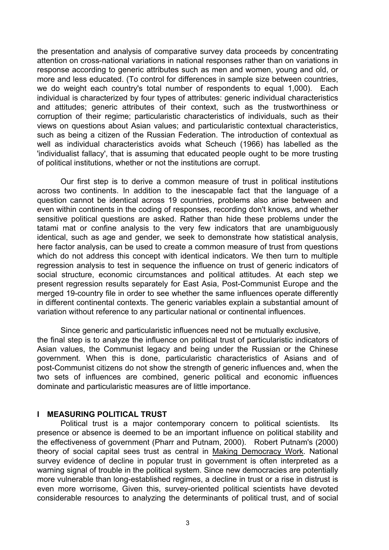the presentation and analysis of comparative survey data proceeds by concentrating attention on cross-national variations in national responses rather than on variations in response according to generic attributes such as men and women, young and old, or more and less educated. (To control for differences in sample size between countries, we do weight each country's total number of respondents to equal 1,000). Each individual is characterized by four types of attributes: generic individual characteristics and attitudes; generic attributes of their context, such as the trustworthiness or corruption of their regime; particularistic characteristics of individuals, such as their views on questions about Asian values; and particularistic contextual characteristics, such as being a citizen of the Russian Federation. The introduction of contextual as well as individual characteristics avoids what Scheuch (1966) has labelled as the 'individualist fallacy', that is assuming that educated people ought to be more trusting of political institutions, whether or not the institutions are corrupt.

 Our first step is to derive a common measure of trust in political institutions across two continents. In addition to the inescapable fact that the language of a question cannot be identical across 19 countries, problems also arise between and even within continents in the coding of responses, recording don't knows, and whether sensitive political questions are asked. Rather than hide these problems under the tatami mat or confine analysis to the very few indicators that are unambiguously identical, such as age and gender, we seek to demonstrate how statistical analysis, here factor analysis, can be used to create a common measure of trust from questions which do not address this concept with identical indicators. We then turn to multiple regression analysis to test in sequence the influence on trust of generic indicators of social structure, economic circumstances and political attitudes. At each step we present regression results separately for East Asia, Post-Communist Europe and the merged 19-country file in order to see whether the same influences operate differently in different continental contexts. The generic variables explain a substantial amount of variation without reference to any particular national or continental influences.

 Since generic and particularistic influences need not be mutually exclusive, the final step is to analyze the influence on political trust of particularistic indicators of Asian values, the Communist legacy and being under the Russian or the Chinese government. When this is done, particularistic characteristics of Asians and of post-Communist citizens do not show the strength of generic influences and, when the two sets of influences are combined, generic political and economic influences dominate and particularistic measures are of little importance.

#### **I MEASURING POLITICAL TRUST**

 Political trust is a major contemporary concern to political scientists. Its presence or absence is deemed to be an important influence on political stability and the effectiveness of government (Pharr and Putnam, 2000). Robert Putnam's (2000) theory of social capital sees trust as central in Making Democracy Work. National survey evidence of decline in popular trust in government is often interpreted as a warning signal of trouble in the political system. Since new democracies are potentially more vulnerable than long-established regimes, a decline in trust or a rise in distrust is even more worrisome, Given this, survey-oriented political scientists have devoted considerable resources to analyzing the determinants of political trust, and of social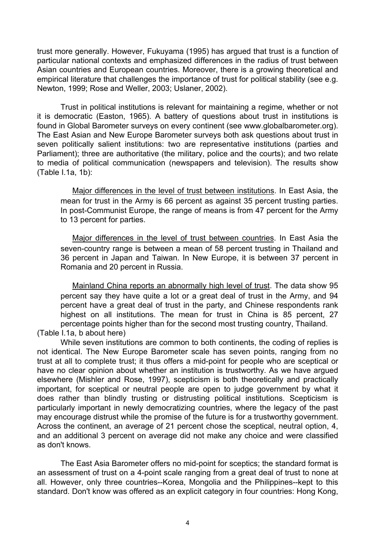trust more generally. However, Fukuyama (1995) has argued that trust is a function of particular national contexts and emphasized differences in the radius of trust between Asian countries and European countries. Moreover, there is a growing theoretical and empirical literature that challenges the importance of trust for political stability (see e.g. Newton, 1999; Rose and Weller, 2003; Uslaner, 2002).

 Trust in political institutions is relevant for maintaining a regime, whether or not it is democratic (Easton, 1965). A battery of questions about trust in institutions is found in Global Barometer surveys on every continent (see www.globalbarometer.org). The East Asian and New Europe Barometer surveys both ask questions about trust in seven politically salient institutions: two are representative institutions (parties and Parliament); three are authoritative (the military, police and the courts); and two relate to media of political communication (newspapers and television). The results show (Table I.1a, 1b):

 Major differences in the level of trust between institutions. In East Asia, the mean for trust in the Army is 66 percent as against 35 percent trusting parties. In post-Communist Europe, the range of means is from 47 percent for the Army to 13 percent for parties.

 Major differences in the level of trust between countries. In East Asia the seven-country range is between a mean of 58 percent trusting in Thailand and 36 percent in Japan and Taiwan. In New Europe, it is between 37 percent in Romania and 20 percent in Russia.

 Mainland China reports an abnormally high level of trust. The data show 95 percent say they have quite a lot or a great deal of trust in the Army, and 94 percent have a great deal of trust in the party, and Chinese respondents rank highest on all institutions. The mean for trust in China is 85 percent, 27 percentage points higher than for the second most trusting country, Thailand.

(Table I.1a, b about here)

 While seven institutions are common to both continents, the coding of replies is not identical. The New Europe Barometer scale has seven points, ranging from no trust at all to complete trust; it thus offers a mid-point for people who are sceptical or have no clear opinion about whether an institution is trustworthy. As we have argued elsewhere (Mishler and Rose, 1997), scepticism is both theoretically and practically important, for sceptical or neutral people are open to judge government by what it does rather than blindly trusting or distrusting political institutions. Scepticism is particularly important in newly democratizing countries, where the legacy of the past may encourage distrust while the promise of the future is for a trustworthy government. Across the continent, an average of 21 percent chose the sceptical, neutral option, 4, and an additional 3 percent on average did not make any choice and were classified as don't knows.

 The East Asia Barometer offers no mid-point for sceptics; the standard format is an assessment of trust on a 4-point scale ranging from a great deal of trust to none at all. However, only three countries--Korea, Mongolia and the Philippines--kept to this standard. Don't know was offered as an explicit category in four countries: Hong Kong,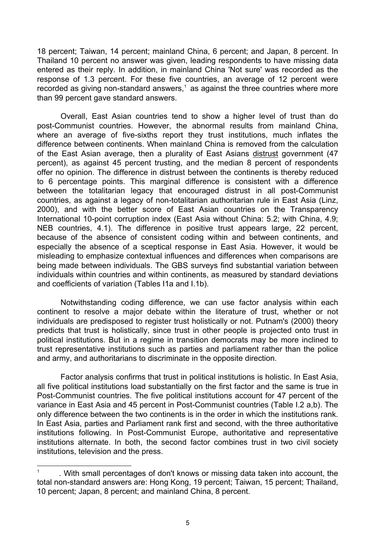18 percent; Taiwan, 14 percent; mainland China, 6 percent; and Japan, 8 percent. In Thailand 10 percent no answer was given, leading respondents to have missing data entered as their reply. In addition, in mainland China 'Not sure' was recorded as the response of 1.3 percent. For these five countries, an average of 12 percent were recorded as giving non-standard answers, $<sup>1</sup>$  as against the three countries where more</sup> than 99 percent gave standard answers.

 Overall, East Asian countries tend to show a higher level of trust than do post-Communist countries. However, the abnormal results from mainland China, where an average of five-sixths report they trust institutions, much inflates the difference between continents. When mainland China is removed from the calculation of the East Asian average, then a plurality of East Asians distrust government (47 percent), as against 45 percent trusting, and the median 8 percent of respondents offer no opinion. The difference in distrust between the continents is thereby reduced to 6 percentage points. This marginal difference is consistent with a difference between the totalitarian legacy that encouraged distrust in all post-Communist countries, as against a legacy of non-totalitarian authoritarian rule in East Asia (Linz, 2000), and with the better score of East Asian countries on the Transparency International 10-point corruption index (East Asia without China: 5.2; with China, 4.9; NEB countries, 4.1). The difference in positive trust appears large, 22 percent, because of the absence of consistent coding within and between continents, and especially the absence of a sceptical response in East Asia. However, it would be misleading to emphasize contextual influences and differences when comparisons are being made between individuals. The GBS surveys find substantial variation between individuals within countries and within continents, as measured by standard deviations and coefficients of variation (Tables I1a and I.1b).

 Notwithstanding coding difference, we can use factor analysis within each continent to resolve a major debate within the literature of trust, whether or not individuals are predisposed to register trust holistically or not. Putnam's (2000) theory predicts that trust is holistically, since trust in other people is projected onto trust in political institutions. But in a regime in transition democrats may be more inclined to trust representative institutions such as parties and parliament rather than the police and army, and authoritarians to discriminate in the opposite direction.

 Factor analysis confirms that trust in political institutions is holistic. In East Asia, all five political institutions load substantially on the first factor and the same is true in Post-Communist countries. The five political institutions account for 47 percent of the variance in East Asia and 45 percent in Post-Communist countries (Table I.2 a,b). The only difference between the two continents is in the order in which the institutions rank. In East Asia, parties and Parliament rank first and second, with the three authoritative institutions following. In Post-Communist Europe, authoritative and representative institutions alternate. In both, the second factor combines trust in two civil society institutions, television and the press.

 $\overline{1}$  . With small percentages of don't knows or missing data taken into account, the total non-standard answers are: Hong Kong, 19 percent; Taiwan, 15 percent; Thailand, 10 percent; Japan, 8 percent; and mainland China, 8 percent.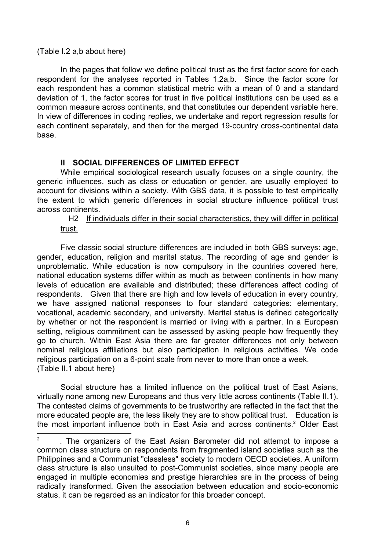#### (Table I.2 a,b about here)

 In the pages that follow we define political trust as the first factor score for each respondent for the analyses reported in Tables 1.2a,b. Since the factor score for each respondent has a common statistical metric with a mean of 0 and a standard deviation of 1, the factor scores for trust in five political institutions can be used as a common measure across continents, and that constitutes our dependent variable here. In view of differences in coding replies, we undertake and report regression results for each continent separately, and then for the merged 19-country cross-continental data base.

## **II SOCIAL DIFFERENCES OF LIMITED EFFECT**

 While empirical sociological research usually focuses on a single country, the generic influences, such as class or education or gender, are usually employed to account for divisions within a society. With GBS data, it is possible to test empirically the extent to which generic differences in social structure influence political trust across continents.

H2 If individuals differ in their social characteristics, they will differ in political trust.

 Five classic social structure differences are included in both GBS surveys: age, gender, education, religion and marital status. The recording of age and gender is unproblematic. While education is now compulsory in the countries covered here, national education systems differ within as much as between continents in how many levels of education are available and distributed; these differences affect coding of respondents. Given that there are high and low levels of education in every country, we have assigned national responses to four standard categories: elementary, vocational, academic secondary, and university. Marital status is defined categorically by whether or not the respondent is married or living with a partner. In a European setting, religious commitment can be assessed by asking people how frequently they go to church. Within East Asia there are far greater differences not only between nominal religious affiliations but also participation in religious activities. We code religious participation on a 6-point scale from never to more than once a week. (Table II.1 about here)

 Social structure has a limited influence on the political trust of East Asians, virtually none among new Europeans and thus very little across continents (Table II.1). The contested claims of governments to be trustworthy are reflected in the fact that the more educated people are, the less likely they are to show political trust. Education is the most important influence both in East Asia and across continents.<sup>2</sup> Older East

<sup>2</sup> . The organizers of the East Asian Barometer did not attempt to impose a common class structure on respondents from fragmented island societies such as the Philippines and a Communist "classless" society to modern OECD societies. A uniform class structure is also unsuited to post-Communist societies, since many people are engaged in multiple economies and prestige hierarchies are in the process of being radically transformed. Given the association between education and socio-economic status, it can be regarded as an indicator for this broader concept.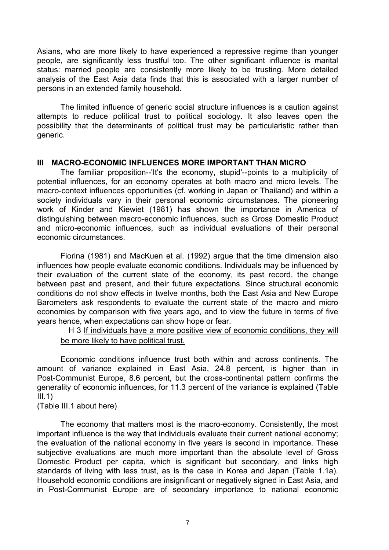Asians, who are more likely to have experienced a repressive regime than younger people, are significantly less trustful too. The other significant influence is marital status: married people are consistently more likely to be trusting. More detailed analysis of the East Asia data finds that this is associated with a larger number of persons in an extended family household.

 The limited influence of generic social structure influences is a caution against attempts to reduce political trust to political sociology. It also leaves open the possibility that the determinants of political trust may be particularistic rather than generic.

#### **III MACRO-ECONOMIC INFLUENCES MORE IMPORTANT THAN MICRO**

 The familiar proposition--'It's the economy, stupid'--points to a multiplicity of potential influences, for an economy operates at both macro and micro levels. The macro-context influences opportunities (cf. working in Japan or Thailand) and within a society individuals vary in their personal economic circumstances. The pioneering work of Kinder and Kiewiet (1981) has shown the importance in America of distinguishing between macro-economic influences, such as Gross Domestic Product and micro-economic influences, such as individual evaluations of their personal economic circumstances.

 Fiorina (1981) and MacKuen et al. (1992) argue that the time dimension also influences how people evaluate economic conditions. Individuals may be influenced by their evaluation of the current state of the economy, its past record, the change between past and present, and their future expectations. Since structural economic conditions do not show effects in twelve months, both the East Asia and New Europe Barometers ask respondents to evaluate the current state of the macro and micro economies by comparison with five years ago, and to view the future in terms of five years hence, when expectations can show hope or fear.

H 3 If individuals have a more positive view of economic conditions, they will be more likely to have political trust.

 Economic conditions influence trust both within and across continents. The amount of variance explained in East Asia, 24.8 percent, is higher than in Post-Communist Europe, 8.6 percent, but the cross-continental pattern confirms the generality of economic influences, for 11.3 percent of the variance is explained (Table  $III.1)$ 

(Table III.1 about here)

 The economy that matters most is the macro-economy. Consistently, the most important influence is the way that individuals evaluate their current national economy; the evaluation of the national economy in five years is second in importance. These subjective evaluations are much more important than the absolute level of Gross Domestic Product per capita, which is significant but secondary, and links high standards of living with less trust, as is the case in Korea and Japan (Table 1.1a). Household economic conditions are insignificant or negatively signed in East Asia, and in Post-Communist Europe are of secondary importance to national economic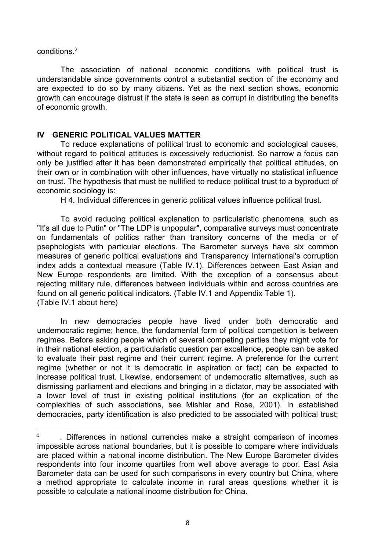conditions.<sup>3</sup>

 The association of national economic conditions with political trust is understandable since governments control a substantial section of the economy and are expected to do so by many citizens. Yet as the next section shows, economic growth can encourage distrust if the state is seen as corrupt in distributing the benefits of economic growth.

### **IV GENERIC POLITICAL VALUES MATTER**

 To reduce explanations of political trust to economic and sociological causes, without regard to political attitudes is excessively reductionist. So narrow a focus can only be justified after it has been demonstrated empirically that political attitudes, on their own or in combination with other influences, have virtually no statistical influence on trust. The hypothesis that must be nullified to reduce political trust to a byproduct of economic sociology is:

H 4. Individual differences in generic political values influence political trust.

 To avoid reducing political explanation to particularistic phenomena, such as "It's all due to Putin" or "The LDP is unpopular", comparative surveys must concentrate on fundamentals of politics rather than transitory concerns of the media or of psephologists with particular elections. The Barometer surveys have six common measures of generic political evaluations and Transparency International's corruption index adds a contextual measure (Table IV.1). Differences between East Asian and New Europe respondents are limited. With the exception of a consensus about rejecting military rule, differences between individuals within and across countries are found on all generic political indicators. (Table IV.1 and Appendix Table 1). (Table IV.1 about here)

 In new democracies people have lived under both democratic and undemocratic regime; hence, the fundamental form of political competition is between regimes. Before asking people which of several competing parties they might vote for in their national election, a particularistic question par excellence, people can be asked to evaluate their past regime and their current regime. A preference for the current regime (whether or not it is democratic in aspiration or fact) can be expected to increase political trust. Likewise, endorsement of undemocratic alternatives, such as dismissing parliament and elections and bringing in a dictator, may be associated with a lower level of trust in existing political institutions (for an explication of the complexities of such associations, see Mishler and Rose, 2001). In established democracies, party identification is also predicted to be associated with political trust;

 3 . Differences in national currencies make a straight comparison of incomes impossible across national boundaries, but it is possible to compare where individuals are placed within a national income distribution. The New Europe Barometer divides respondents into four income quartiles from well above average to poor. East Asia Barometer data can be used for such comparisons in every country but China, where a method appropriate to calculate income in rural areas questions whether it is possible to calculate a national income distribution for China.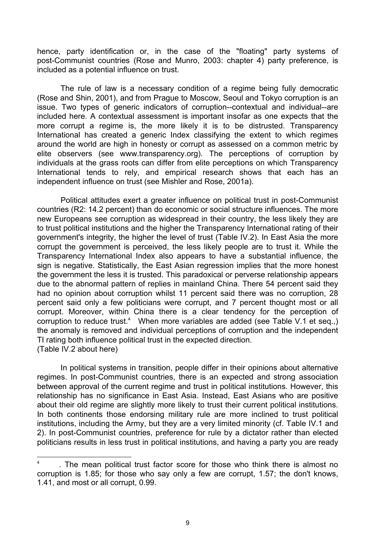hence, party identification or, in the case of the "floating" party systems of post-Communist countries (Rose and Munro, 2003: chapter 4) party preference, is included as a potential influence on trust.

 The rule of law is a necessary condition of a regime being fully democratic (Rose and Shin, 2001), and from Prague to Moscow, Seoul and Tokyo corruption is an issue. Two types of generic indicators of corruption--contextual and individual--are included here. A contextual assessment is important insofar as one expects that the more corrupt a regime is, the more likely it is to be distrusted. Transparency International has created a generic Index classifying the extent to which regimes around the world are high in honesty or corrupt as assessed on a common metric by elite observers (see www.transparency.org). The perceptions of corruption by individuals at the grass roots can differ from elite perceptions on which Transparency International tends to rely, and empirical research shows that each has an independent influence on trust (see Mishler and Rose, 2001a).

 Political attitudes exert a greater influence on political trust in post-Communist countries (R2: 14.2 percent) than do economic or social structure influences. The more new Europeans see corruption as widespread in their country, the less likely they are to trust political institutions and the higher the Transparency International rating of their government's integrity, the higher the level of trust (Table IV.2). In East Asia the more corrupt the government is perceived, the less likely people are to trust it. While the Transparency International Index also appears to have a substantial influence, the sign is negative. Statistically, the East Asian regression implies that the more honest the government the less it is trusted. This paradoxical or perverse relationship appears due to the abnormal pattern of replies in mainland China. There 54 percent said they had no opinion about corruption whilst 11 percent said there was no corruption, 28 percent said only a few politicians were corrupt, and 7 percent thought most or all corrupt. Moreover, within China there is a clear tendency for the perception of corruption to reduce trust.<sup>4</sup> When more variables are added (see Table V.1 et seq.,) the anomaly is removed and individual perceptions of corruption and the independent TI rating both influence political trust in the expected direction. (Table IV.2 about here)

 In political systems in transition, people differ in their opinions about alternative regimes. In post-Communist countries, there is an expected and strong association between approval of the current regime and trust in political institutions. However, this relationship has no significance in East Asia. Instead, East Asians who are positive about their old regime are slightly more likely to trust their current political institutions. In both continents those endorsing military rule are more inclined to trust political institutions, including the Army, but they are a very limited minority (cf. Table IV.1 and 2). In post-Communist countries, preference for rule by a dictator rather than elected politicians results in less trust in political institutions, and having a party you are ready

l

<sup>4</sup> . The mean political trust factor score for those who think there is almost no corruption is 1.85; for those who say only a few are corrupt, 1.57; the don't knows, 1.41, and most or all corrupt, 0.99.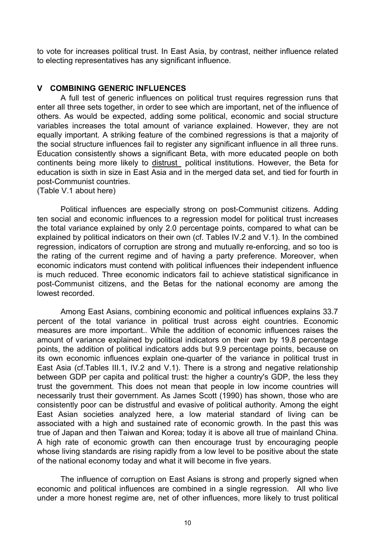to vote for increases political trust. In East Asia, by contrast, neither influence related to electing representatives has any significant influence.

### **V COMBINING GENERIC INFLUENCES**

 A full test of generic influences on political trust requires regression runs that enter all three sets together, in order to see which are important, net of the influence of others. As would be expected, adding some political, economic and social structure variables increases the total amount of variance explained. However, they are not equally important. A striking feature of the combined regressions is that a majority of the social structure influences fail to register any significant influence in all three runs. Education consistently shows a significant Beta, with more educated people on both continents being more likely to distrust political institutions. However, the Beta for education is sixth in size in East Asia and in the merged data set, and tied for fourth in post-Communist countries.

(Table V.1 about here)

 Political influences are especially strong on post-Communist citizens. Adding ten social and economic influences to a regression model for political trust increases the total variance explained by only 2.0 percentage points, compared to what can be explained by political indicators on their own (cf. Tables IV.2 and V.1). In the combined regression, indicators of corruption are strong and mutually re-enforcing, and so too is the rating of the current regime and of having a party preference. Moreover, when economic indicators must contend with political influences their independent influence is much reduced. Three economic indicators fail to achieve statistical significance in post-Communist citizens, and the Betas for the national economy are among the lowest recorded.

 Among East Asians, combining economic and political influences explains 33.7 percent of the total variance in political trust across eight countries. Economic measures are more important.. While the addition of economic influences raises the amount of variance explained by political indicators on their own by 19.8 percentage points, the addition of political indicators adds but 9.9 percentage points, because on its own economic influences explain one-quarter of the variance in political trust in East Asia (cf.Tables III.1, IV.2 and V.1). There is a strong and negative relationship between GDP per capita and political trust: the higher a country's GDP, the less they trust the government. This does not mean that people in low income countries will necessarily trust their government. As James Scott (1990) has shown, those who are consistently poor can be distrustful and evasive of political authority. Among the eight East Asian societies analyzed here, a low material standard of living can be associated with a high and sustained rate of economic growth. In the past this was true of Japan and then Taiwan and Korea; today it is above all true of mainland China. A high rate of economic growth can then encourage trust by encouraging people whose living standards are rising rapidly from a low level to be positive about the state of the national economy today and what it will become in five years.

 The influence of corruption on East Asians is strong and properly signed when economic and political influences are combined in a single regression. All who live under a more honest regime are, net of other influences, more likely to trust political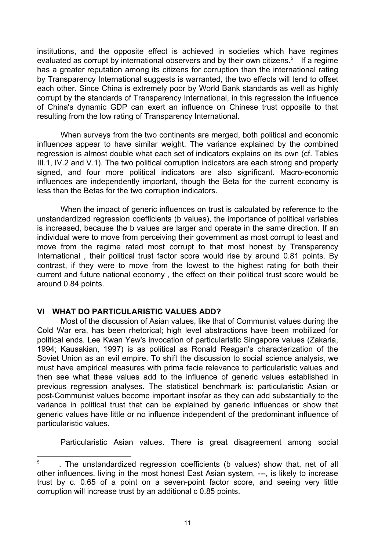institutions, and the opposite effect is achieved in societies which have regimes evaluated as corrupt by international observers and by their own citizens.<sup>5</sup> If a regime has a greater reputation among its citizens for corruption than the international rating by Transparency International suggests is warranted, the two effects will tend to offset each other. Since China is extremely poor by World Bank standards as well as highly corrupt by the standards of Transparency International, in this regression the influence of China's dynamic GDP can exert an influence on Chinese trust opposite to that resulting from the low rating of Transparency International.

 When surveys from the two continents are merged, both political and economic influences appear to have similar weight. The variance explained by the combined regression is almost double what each set of indicators explains on its own (cf. Tables III.1, IV.2 and V.1). The two political corruption indicators are each strong and properly signed, and four more political indicators are also significant. Macro-economic influences are independently important, though the Beta for the current economy is less than the Betas for the two corruption indicators.

 When the impact of generic influences on trust is calculated by reference to the unstandardized regression coefficients (b values), the importance of political variables is increased, because the b values are larger and operate in the same direction. If an individual were to move from perceiving their government as most corrupt to least and move from the regime rated most corrupt to that most honest by Transparency International , their political trust factor score would rise by around 0.81 points. By contrast, if they were to move from the lowest to the highest rating for both their current and future national economy , the effect on their political trust score would be around 0.84 points.

#### **VI WHAT DO PARTICULARISTIC VALUES ADD?**

l

 Most of the discussion of Asian values, like that of Communist values during the Cold War era, has been rhetorical; high level abstractions have been mobilized for political ends. Lee Kwan Yew's invocation of particularistic Singapore values (Zakaria, 1994; Kausakian, 1997) is as political as Ronald Reagan's characterization of the Soviet Union as an evil empire. To shift the discussion to social science analysis, we must have empirical measures with prima facie relevance to particularistic values and then see what these values add to the influence of generic values established in previous regression analyses. The statistical benchmark is: particularistic Asian or post-Communist values become important insofar as they can add substantially to the variance in political trust that can be explained by generic influences or show that generic values have little or no influence independent of the predominant influence of particularistic values.

Particularistic Asian values. There is great disagreement among social

<sup>5</sup> . The unstandardized regression coefficients (b values) show that, net of all other influences, living in the most honest East Asian system, ---, is likely to increase trust by c. 0.65 of a point on a seven-point factor score, and seeing very little corruption will increase trust by an additional c 0.85 points.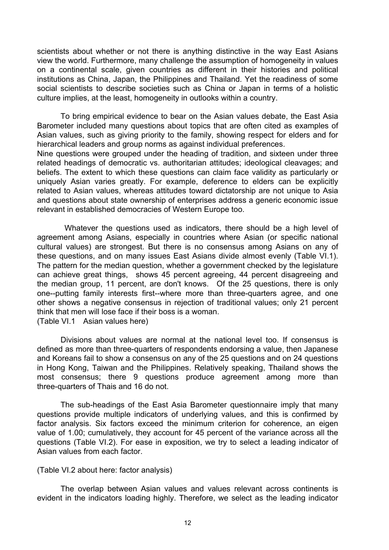scientists about whether or not there is anything distinctive in the way East Asians view the world. Furthermore, many challenge the assumption of homogeneity in values on a continental scale, given countries as different in their histories and political institutions as China, Japan, the Philippines and Thailand. Yet the readiness of some social scientists to describe societies such as China or Japan in terms of a holistic culture implies, at the least, homogeneity in outlooks within a country.

 To bring empirical evidence to bear on the Asian values debate, the East Asia Barometer included many questions about topics that are often cited as examples of Asian values, such as giving priority to the family, showing respect for elders and for hierarchical leaders and group norms as against individual preferences.

Nine questions were grouped under the heading of tradition, and sixteen under three related headings of democratic vs. authoritarian attitudes; ideological cleavages; and beliefs. The extent to which these questions can claim face validity as particularly or uniquely Asian varies greatly. For example, deference to elders can be explicitly related to Asian values, whereas attitudes toward dictatorship are not unique to Asia and questions about state ownership of enterprises address a generic economic issue relevant in established democracies of Western Europe too.

Whatever the questions used as indicators, there should be a high level of agreement among Asians, especially in countries where Asian (or specific national cultural values) are strongest. But there is no consensus among Asians on any of these questions, and on many issues East Asians divide almost evenly (Table VI.1). The pattern for the median question, whether a government checked by the legislature can achieve great things, shows 45 percent agreeing, 44 percent disagreeing and the median group, 11 percent, are don't knows. Of the 25 questions, there is only one--putting family interests first--where more than three-quarters agree, and one other shows a negative consensus in rejection of traditional values; only 21 percent think that men will lose face if their boss is a woman. (Table VI.1 Asian values here)

 Divisions about values are normal at the national level too. If consensus is defined as more than three-quarters of respondents endorsing a value, then Japanese and Koreans fail to show a consensus on any of the 25 questions and on 24 questions in Hong Kong, Taiwan and the Philippines. Relatively speaking, Thailand shows the most consensus; there 9 questions produce agreement among more than three-quarters of Thais and 16 do not.

 The sub-headings of the East Asia Barometer questionnaire imply that many questions provide multiple indicators of underlying values, and this is confirmed by factor analysis. Six factors exceed the minimum criterion for coherence, an eigen value of 1.00; cumulatively, they account for 45 percent of the variance across all the questions (Table VI.2). For ease in exposition, we try to select a leading indicator of Asian values from each factor.

(Table VI.2 about here: factor analysis)

 The overlap between Asian values and values relevant across continents is evident in the indicators loading highly. Therefore, we select as the leading indicator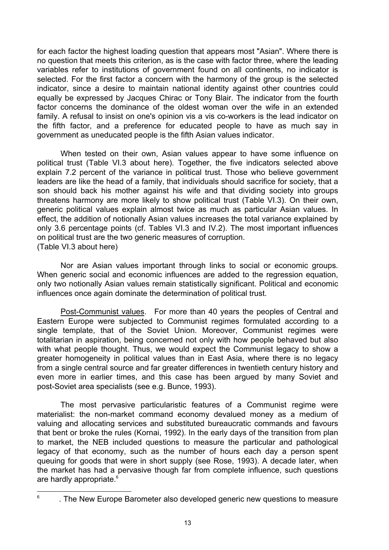for each factor the highest loading question that appears most "Asian". Where there is no question that meets this criterion, as is the case with factor three, where the leading variables refer to institutions of government found on all continents, no indicator is selected. For the first factor a concern with the harmony of the group is the selected indicator, since a desire to maintain national identity against other countries could equally be expressed by Jacques Chirac or Tony Blair. The indicator from the fourth factor concerns the dominance of the oldest woman over the wife in an extended family. A refusal to insist on one's opinion vis a vis co-workers is the lead indicator on the fifth factor, and a preference for educated people to have as much say in government as uneducated people is the fifth Asian values indicator.

 When tested on their own, Asian values appear to have some influence on political trust (Table VI.3 about here). Together, the five indicators selected above explain 7.2 percent of the variance in political trust. Those who believe government leaders are like the head of a family, that individuals should sacrifice for society, that a son should back his mother against his wife and that dividing society into groups threatens harmony are more likely to show political trust (Table VI.3). On their own, generic political values explain almost twice as much as particular Asian values. In effect, the addition of notionally Asian values increases the total variance explained by only 3.6 percentage points (cf. Tables VI.3 and IV.2). The most important influences on political trust are the two generic measures of corruption. (Table VI.3 about here)

 Nor are Asian values important through links to social or economic groups. When generic social and economic influences are added to the regression equation, only two notionally Asian values remain statistically significant. Political and economic influences once again dominate the determination of political trust.

Post-Communist values. For more than 40 years the peoples of Central and Eastern Europe were subjected to Communist regimes formulated according to a single template, that of the Soviet Union. Moreover, Communist regimes were totalitarian in aspiration, being concerned not only with how people behaved but also with what people thought. Thus, we would expect the Communist legacy to show a greater homogeneity in political values than in East Asia, where there is no legacy from a single central source and far greater differences in twentieth century history and even more in earlier times, and this case has been argued by many Soviet and post-Soviet area specialists (see e.g. Bunce, 1993).

 The most pervasive particularistic features of a Communist regime were materialist: the non-market command economy devalued money as a medium of valuing and allocating services and substituted bureaucratic commands and favours that bent or broke the rules (Kornai, 1992). In the early days of the transition from plan to market, the NEB included questions to measure the particular and pathological legacy of that economy, such as the number of hours each day a person spent queuing for goods that were in short supply (see Rose, 1993). A decade later, when the market has had a pervasive though far from complete influence, such questions are hardly appropriate.<sup>6</sup>

—<br>6

 <sup>.</sup> The New Europe Barometer also developed generic new questions to measure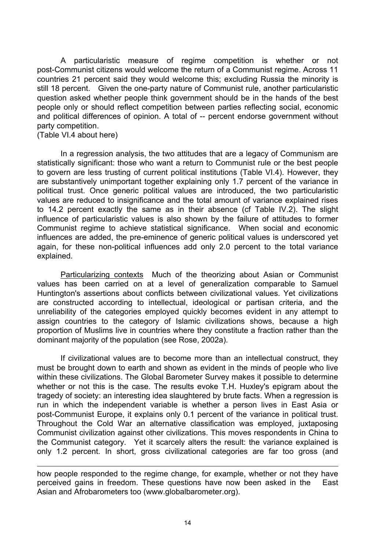A particularistic measure of regime competition is whether or not post-Communist citizens would welcome the return of a Communist regime. Across 11 countries 21 percent said they would welcome this; excluding Russia the minority is still 18 percent. Given the one-party nature of Communist rule, another particularistic question asked whether people think government should be in the hands of the best people only or should reflect competition between parties reflecting social, economic and political differences of opinion. A total of -- percent endorse government without party competition.

(Table VI.4 about here)

l

 In a regression analysis, the two attitudes that are a legacy of Communism are statistically significant: those who want a return to Communist rule or the best people to govern are less trusting of current political institutions (Table VI.4). However, they are substantively unimportant together explaining only 1.7 percent of the variance in political trust. Once generic political values are introduced, the two particularistic values are reduced to insignificance and the total amount of variance explained rises to 14.2 percent exactly the same as in their absence (cf Table IV.2). The slight influence of particularistic values is also shown by the failure of attitudes to former Communist regime to achieve statistical significance. When social and economic influences are added, the pre-eminence of generic political values is underscored yet again, for these non-political influences add only 2.0 percent to the total variance explained.

 Particularizing contexts Much of the theorizing about Asian or Communist values has been carried on at a level of generalization comparable to Samuel Huntington's assertions about conflicts between civilizational values. Yet civilizations are constructed according to intellectual, ideological or partisan criteria, and the unreliability of the categories employed quickly becomes evident in any attempt to assign countries to the category of Islamic civilizations shows, because a high proportion of Muslims live in countries where they constitute a fraction rather than the dominant majority of the population (see Rose, 2002a).

 If civilizational values are to become more than an intellectual construct, they must be brought down to earth and shown as evident in the minds of people who live within these civilizations. The Global Barometer Survey makes it possible to determine whether or not this is the case. The results evoke T.H. Huxley's epigram about the tragedy of society: an interesting idea slaughtered by brute facts. When a regression is run in which the independent variable is whether a person lives in East Asia or post-Communist Europe, it explains only 0.1 percent of the variance in political trust. Throughout the Cold War an alternative classification was employed, juxtaposing Communist civilization against other civilizations. This moves respondents in China to the Communist category. Yet it scarcely alters the result: the variance explained is only 1.2 percent. In short, gross civilizational categories are far too gross (and

how people responded to the regime change, for example, whether or not they have perceived gains in freedom. These questions have now been asked in the East Asian and Afrobarometers too (www.globalbarometer.org).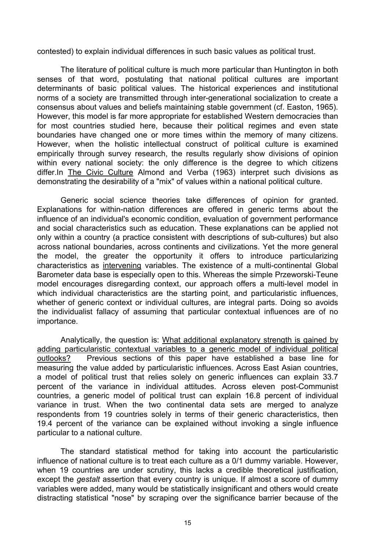contested) to explain individual differences in such basic values as political trust.

 The literature of political culture is much more particular than Huntington in both senses of that word, postulating that national political cultures are important determinants of basic political values. The historical experiences and institutional norms of a society are transmitted through inter-generational socialization to create a consensus about values and beliefs maintaining stable government (cf. Easton, 1965). However, this model is far more appropriate for established Western democracies than for most countries studied here, because their political regimes and even state boundaries have changed one or more times within the memory of many citizens. However, when the holistic intellectual construct of political culture is examined empirically through survey research, the results regularly show divisions of opinion within every national society: the only difference is the degree to which citizens differ.In The Civic Culture Almond and Verba (1963) interpret such divisions as demonstrating the desirability of a "mix" of values within a national political culture.

 Generic social science theories take differences of opinion for granted. Explanations for within-nation differences are offered in generic terms about the influence of an individual's economic condition, evaluation of government performance and social characteristics such as education. These explanations can be applied not only within a country (a practice consistent with descriptions of sub-cultures) but also across national boundaries, across continents and civilizations. Yet the more general the model, the greater the opportunity it offers to introduce particularizing characteristics as intervening variables. The existence of a multi-continental Global Barometer data base is especially open to this. Whereas the simple Przeworski-Teune model encourages disregarding context, our approach offers a multi-level model in which individual characteristics are the starting point, and particularistic influences, whether of generic context or individual cultures, are integral parts. Doing so avoids the individualist fallacy of assuming that particular contextual influences are of no importance.

 Analytically, the question is: What additional explanatory strength is gained by adding particularistic contextual variables to a generic model of individual political outlooks? Previous sections of this paper have established a base line for measuring the value added by particularistic influences. Across East Asian countries, a model of political trust that relies solely on generic influences can explain 33.7 percent of the variance in individual attitudes. Across eleven post-Communist countries, a generic model of political trust can explain 16.8 percent of individual variance in trust. When the two continental data sets are merged to analyze respondents from 19 countries solely in terms of their generic characteristics, then 19.4 percent of the variance can be explained without invoking a single influence particular to a national culture.

 The standard statistical method for taking into account the particularistic influence of national culture is to treat each culture as a 0/1 dummy variable. However, when 19 countries are under scrutiny, this lacks a credible theoretical justification, except the *gestalt* assertion that every country is unique. If almost a score of dummy variables were added, many would be statistically insignificant and others would create distracting statistical "nose" by scraping over the significance barrier because of the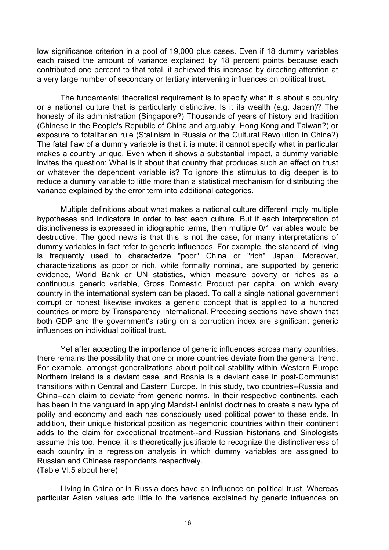low significance criterion in a pool of 19,000 plus cases. Even if 18 dummy variables each raised the amount of variance explained by 18 percent points because each contributed one percent to that total, it achieved this increase by directing attention at a very large number of secondary or tertiary intervening influences on political trust.

 The fundamental theoretical requirement is to specify what it is about a country or a national culture that is particularly distinctive. Is it its wealth (e.g. Japan)? The honesty of its administration (Singapore?) Thousands of years of history and tradition (Chinese in the People's Republic of China and arguably, Hong Kong and Taiwan?) or exposure to totalitarian rule (Stalinism in Russia or the Cultural Revolution in China?) The fatal flaw of a dummy variable is that it is mute: it cannot specify what in particular makes a country unique. Even when it shows a substantial impact, a dummy variable invites the question: What is it about that country that produces such an effect on trust or whatever the dependent variable is? To ignore this stimulus to dig deeper is to reduce a dummy variable to little more than a statistical mechanism for distributing the variance explained by the error term into additional categories.

 Multiple definitions about what makes a national culture different imply multiple hypotheses and indicators in order to test each culture. But if each interpretation of distinctiveness is expressed in idiographic terms, then multiple 0/1 variables would be destructive. The good news is that this is not the case, for many interpretations of dummy variables in fact refer to generic influences. For example, the standard of living is frequently used to characterize "poor" China or "rich" Japan. Moreover, characterizations as poor or rich, while formally nominal, are supported by generic evidence, World Bank or UN statistics, which measure poverty or riches as a continuous generic variable, Gross Domestic Product per capita, on which every country in the international system can be placed. To call a single national government corrupt or honest likewise invokes a generic concept that is applied to a hundred countries or more by Transparency International. Preceding sections have shown that both GDP and the government's rating on a corruption index are significant generic influences on individual political trust.

 Yet after accepting the importance of generic influences across many countries, there remains the possibility that one or more countries deviate from the general trend. For example, amongst generalizations about political stability within Western Europe Northern Ireland is a deviant case, and Bosnia is a deviant case in post-Communist transitions within Central and Eastern Europe. In this study, two countries--Russia and China--can claim to deviate from generic norms. In their respective continents, each has been in the vanguard in applying Marxist-Leninist doctrines to create a new type of polity and economy and each has consciously used political power to these ends. In addition, their unique historical position as hegemonic countries within their continent adds to the claim for exceptional treatment--and Russian historians and Sinologists assume this too. Hence, it is theoretically justifiable to recognize the distinctiveness of each country in a regression analysis in which dummy variables are assigned to Russian and Chinese respondents respectively. (Table VI.5 about here)

 Living in China or in Russia does have an influence on political trust. Whereas particular Asian values add little to the variance explained by generic influences on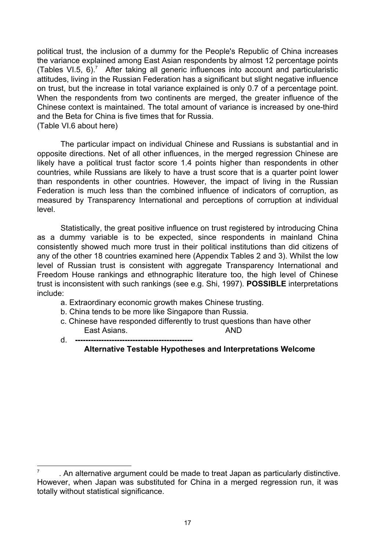political trust, the inclusion of a dummy for the People's Republic of China increases the variance explained among East Asian respondents by almost 12 percentage points (Tables VI.5,  $6$ ).<sup>7</sup> After taking all generic influences into account and particularistic attitudes, living in the Russian Federation has a significant but slight negative influence on trust, but the increase in total variance explained is only 0.7 of a percentage point. When the respondents from two continents are merged, the greater influence of the Chinese context is maintained. The total amount of variance is increased by one-third and the Beta for China is five times that for Russia. (Table VI.6 about here)

 The particular impact on individual Chinese and Russians is substantial and in opposite directions. Net of all other influences, in the merged regression Chinese are likely have a political trust factor score 1.4 points higher than respondents in other countries, while Russians are likely to have a trust score that is a quarter point lower than respondents in other countries. However, the impact of living in the Russian Federation is much less than the combined influence of indicators of corruption, as measured by Transparency International and perceptions of corruption at individual level.

 Statistically, the great positive influence on trust registered by introducing China as a dummy variable is to be expected, since respondents in mainland China consistently showed much more trust in their political institutions than did citizens of any of the other 18 countries examined here (Appendix Tables 2 and 3). Whilst the low level of Russian trust is consistent with aggregate Transparency International and Freedom House rankings and ethnographic literature too, the high level of Chinese trust is inconsistent with such rankings (see e.g. Shi, 1997). **POSSIBLE** interpretations include:

- a. Extraordinary economic growth makes Chinese trusting.
- b. China tends to be more like Singapore than Russia.
- c. Chinese have responded differently to trust questions than have other East Asians. AND
- d. **---------------------------------------------**

l

### **Alternative Testable Hypotheses and Interpretations Welcome**

<sup>7</sup> . An alternative argument could be made to treat Japan as particularly distinctive. However, when Japan was substituted for China in a merged regression run, it was totally without statistical significance.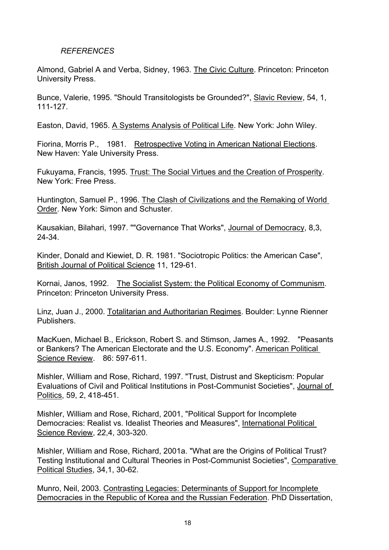### *REFERENCES*

Almond, Gabriel A and Verba, Sidney, 1963. The Civic Culture. Princeton: Princeton University Press.

Bunce, Valerie, 1995. "Should Transitologists be Grounded?", Slavic Review, 54, 1, 111-127.

Easton, David, 1965. A Systems Analysis of Political Life. New York: John Wiley.

Fiorina, Morris P., 1981. Retrospective Voting in American National Elections. New Haven: Yale University Press.

Fukuyama, Francis, 1995. Trust: The Social Virtues and the Creation of Prosperity. New York: Free Press.

Huntington, Samuel P., 1996. The Clash of Civilizations and the Remaking of World Order. New York: Simon and Schuster.

Kausakian, Bilahari, 1997. ""Governance That Works", Journal of Democracy, 8,3, 24-34.

Kinder, Donald and Kiewiet, D. R. 1981. "Sociotropic Politics: the American Case", British Journal of Political Science 11, 129-61.

Kornai, Janos, 1992. The Socialist System: the Political Economy of Communism. Princeton: Princeton University Press.

Linz, Juan J., 2000. Totalitarian and Authoritarian Regimes. Boulder: Lynne Rienner Publishers.

MacKuen, Michael B., Erickson, Robert S. and Stimson, James A., 1992. "Peasants or Bankers? The American Electorate and the U.S. Economy". American Political Science Review. 86: 597-611.

Mishler, William and Rose, Richard, 1997. "Trust, Distrust and Skepticism: Popular Evaluations of Civil and Political Institutions in Post-Communist Societies", Journal of Politics, 59, 2, 418-451.

Mishler, William and Rose, Richard, 2001, "Political Support for Incomplete Democracies: Realist vs. Idealist Theories and Measures", International Political Science Review, 22,4, 303-320.

Mishler, William and Rose, Richard, 2001a. "What are the Origins of Political Trust? Testing Institutional and Cultural Theories in Post-Communist Societies", Comparative Political Studies, 34,1, 30-62.

Munro, Neil, 2003. Contrasting Legacies: Determinants of Support for Incomplete Democracies in the Republic of Korea and the Russian Federation. PhD Dissertation,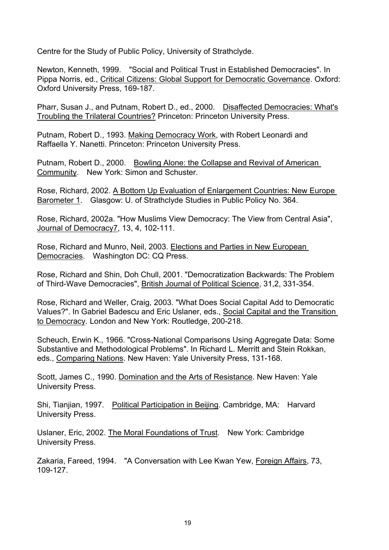Centre for the Study of Public Policy, University of Strathclyde.

Newton, Kenneth, 1999. "Social and Political Trust in Established Democracies". In Pippa Norris, ed., Critical Citizens: Global Support for Democratic Governance. Oxford: Oxford University Press, 169-187.

Pharr, Susan J., and Putnam, Robert D., ed., 2000. Disaffected Democracies: What's Troubling the Trilateral Countries? Princeton: Princeton University Press.

Putnam, Robert D., 1993. Making Democracy Work, with Robert Leonardi and Raffaella Y. Nanetti. Princeton: Princeton University Press.

Putnam, Robert D., 2000. Bowling Alone: the Collapse and Revival of American Community. New York: Simon and Schuster.

Rose, Richard, 2002. A Bottom Up Evaluation of Enlargement Countries: New Europe Barometer 1. Glasgow: U. of Strathclyde Studies in Public Policy No. 364.

Rose, Richard, 2002a. "How Muslims View Democracy: The View from Central Asia", Journal of Democracy7, 13, 4, 102-111.

Rose, Richard and Munro, Neil, 2003. Elections and Parties in New European Democracies. Washington DC: CQ Press.

Rose, Richard and Shin, Doh Chull, 2001. "Democratization Backwards: The Problem of Third-Wave Democracies", British Journal of Political Science, 31,2, 331-354.

Rose, Richard and Weller, Craig, 2003. "What Does Social Capital Add to Democratic Values?". In Gabriel Badescu and Eric Uslaner, eds., Social Capital and the Transition to Democracy. London and New York: Routledge, 200-218.

Scheuch, Erwin K., 1966. "Cross-National Comparisons Using Aggregate Data: Some Substantive and Methodological Problems". In Richard L. Merritt and Stein Rokkan, eds., Comparing Nations. New Haven: Yale University Press, 131-168.

Scott, James C., 1990. Domination and the Arts of Resistance. New Haven: Yale University Press.

Shi, Tianjian, 1997. Political Participation in Beijing. Cambridge, MA: Harvard University Press.

Uslaner, Eric, 2002. The Moral Foundations of Trust. New York: Cambridge University Press.

Zakaria, Fareed, 1994. "A Conversation with Lee Kwan Yew, Foreign Affairs, 73, 109-127.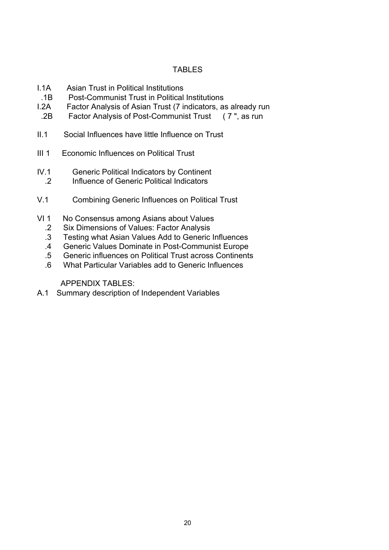## TABLES

- I.1A Asian Trust in Political Institutions
- .1B Post-Communist Trust in Political Institutions
- I.2A Factor Analysis of Asian Trust (7 indicators, as already run
- .2B Factor Analysis of Post-Communist Trust ( 7 ", as run
- II.1 Social Influences have little Influence on Trust
- III 1 Economic Influences on Political Trust
- IV.1 Generic Political Indicators by Continent
- .2 Influence of Generic Political Indicators
- V.1 Combining Generic Influences on Political Trust
- VI 1 No Consensus among Asians about Values
	- .2 Six Dimensions of Values: Factor Analysis
	- .3 Testing what Asian Values Add to Generic Influences
	- .4 Generic Values Dominate in Post-Communist Europe
	- .5 Generic influences on Political Trust across Continents
	- .6 What Particular Variables add to Generic Influences

APPENDIX TABLES:

A.1 Summary description of Independent Variables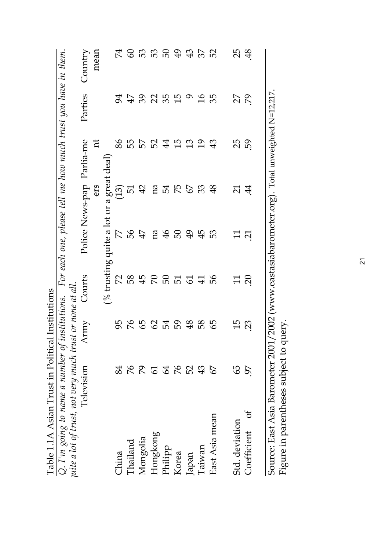| Table 1.1A Asian Trust in Political Institutions         |                |                 |                |                                                               |                          |                           |                             |                        |
|----------------------------------------------------------|----------------|-----------------|----------------|---------------------------------------------------------------|--------------------------|---------------------------|-----------------------------|------------------------|
| Q. I'm going to name a number of institutions.           |                |                 |                | For each one, please tell me how much trust you have in them. |                          |                           |                             |                        |
| uite a lot of trust, not very much trust or none at all. |                |                 |                |                                                               |                          |                           |                             |                        |
|                                                          | Television     | Army            | Courts         |                                                               |                          | Police News-pap Parlia-me | Parties                     | Country                |
|                                                          |                |                 |                |                                                               | ers                      | Ħ                         |                             | mean                   |
|                                                          |                |                 |                | (% trusting quite a lot or                                    |                          | a great deal)             |                             |                        |
| China                                                    | 84             | 95              | $\mathcal{L}$  | 77                                                            | (51)                     | 86                        | $\cancel{5}$                | $\mathcal{L}^{\sharp}$ |
| Thailand                                                 | 94             | $\%$            | 58             | 56<br>47                                                      | <u>ы</u>                 | 55                        | 47                          | 60                     |
| Mongolia                                                 | 64             | 65              | 45             |                                                               | 42                       | 75                        | $\mathcal{S}^{\mathcal{C}}$ | 53                     |
| Hongkong                                                 | $\overline{6}$ | $\mathcal{S}$   |                | na                                                            | na                       | 52                        | $\mathcal{S}$               | 53                     |
| Philipp                                                  | 64             | 54              |                | 46                                                            |                          | $\overline{4}$            | 35                          | 50                     |
| Korea                                                    | 94             | 50              | <b>R</b> & E q |                                                               | 54<br>75<br>67           | $\frac{5}{1}$             | $\frac{5}{2}$               | 49                     |
| Japan                                                    | 52             | $\frac{8}{5}$   |                | 59 \$<br>45                                                   |                          | 13                        | $\sigma$                    | 43                     |
| Taiwan                                                   | 43             | 58              | $\overline{4}$ |                                                               | 33                       | $\overline{5}$            | $\frac{9}{1}$               | 57                     |
| East Asia mean                                           | 57             | 99              | 99             | 53                                                            | 48                       | 43                        | 35                          | 52                     |
| Std. deviation                                           | 59             | $\overline{15}$ | $\Xi$          | $\Xi$                                                         | $\overline{\mathcal{L}}$ | 25                        | 27                          | 25                     |
| ð<br>Coefficient                                         | 97             | $\mathcal{Z}$   | $\Omega$       | $\overline{\Omega}$                                           | 44                       | 59                        | βŹ                          | $\frac{8}{3}$          |
| Source: East Asia Barometer 2001,                        |                |                 |                | /2002 (www.eastasiabarometer.org). Total unweighted N=12,217  |                          |                           |                             |                        |

Source: East Asia Barometer 2001/2002 (www.eastasiabarometer.org). Total unweighted N=12,217. weignte 3  $\ddot{\hat{q}}_{\rm H}$ Source: East Asia Barometer 2001/2002 (ww<br>Figure in parentheses subject to query. Figure in parentheses subject to query.

 $\overline{21}$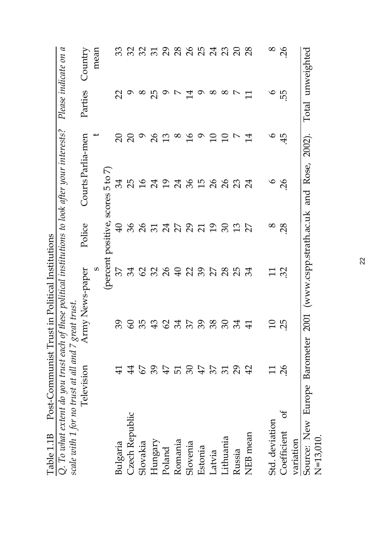| $Q.$ To what extent do you trust each                                             |                |                |                 |                    | of these political institutions to look after your interests? |                 |                                               | Please indicate on a |
|-----------------------------------------------------------------------------------|----------------|----------------|-----------------|--------------------|---------------------------------------------------------------|-----------------|-----------------------------------------------|----------------------|
|                                                                                   |                |                |                 |                    |                                                               |                 |                                               |                      |
| Scale with 1 for no trust at all and 7 great trust.<br>Television Army News-paper |                |                |                 | Police             | Courts Parlia-men                                             |                 | Parties                                       | Country              |
|                                                                                   |                |                | S               |                    |                                                               |                 |                                               | mean                 |
|                                                                                   |                |                |                 | (percent positive, | $\mathcal{L}$<br>5t<br>scores                                 |                 |                                               |                      |
| Bulgaria                                                                          | $\Xi$          |                | 27              | $\mathfrak{g}$     | 34                                                            | $\Omega$        | $\mathbb{S}$                                  | 33                   |
| Czech Republic                                                                    | $\overline{4}$ | $\infty$       | 34              |                    | 25                                                            | $\Omega$        |                                               | $\Im$                |
| Slovakia                                                                          | $\mathcal{L}$  | 55             |                 |                    | $\frac{9}{5}$                                                 |                 |                                               | $\Im$                |
| Hungary                                                                           | 89             | $\mathfrak{P}$ |                 |                    | 24                                                            | $\delta$        | $\sigma$ $\alpha$ $\mu$ $\sigma$ $\mu$ $\tau$ | $\mathbb{Z}$         |
| Poland                                                                            | 47             | 62             |                 |                    | $\overline{0}$                                                | 13              |                                               | $\overline{5}$       |
| Romania                                                                           |                | 34             |                 |                    | 24                                                            | $\infty$        |                                               | 28                   |
| Slovenia                                                                          | $\infty$       | 37             |                 |                    | 36                                                            | $\frac{1}{6}$   |                                               | $\overline{26}$      |
| Estonia                                                                           | 47             | 39             |                 |                    | $\frac{15}{1}$                                                | $\sigma$        | $\sigma$                                      | 25                   |
| Latvia                                                                            | $\mathcal{L}$  | 38             | $8889988888$    |                    | $\delta$                                                      | $\Box$          | $\infty$                                      | 24                   |
| Lithuania                                                                         | $\mathcal{E}$  | $\infty$       |                 | 8832282888         | $\overline{26}$                                               | $\overline{1}$  | 8                                             | 23                   |
| Russia                                                                            | $\mathcal{S}$  | 34             | ЯŠ              | 13                 | $\mathfrak{L}$                                                |                 | $\overline{\phantom{a}}$                      | $\Omega$             |
| NEB mean                                                                          | $\overline{4}$ | $\Xi$          | 34              | $\overline{2}$     | 24                                                            | 14              | $\Xi$                                         | $\overline{28}$      |
| Std. deviation                                                                    |                |                | $\overline{11}$ | $\infty$           | $\bullet$                                                     | $\mathbf \circ$ | $\mathbf{Q}$                                  | $\infty$             |
| ð<br>Coefficient                                                                  | 26             | 25             | 32              | 28                 | $\overline{26}$                                               | 45              | 55                                            | $\overline{26}$      |
| variation                                                                         |                |                |                 |                    |                                                               |                 |                                               |                      |
| Source: New Europe Barometer<br>$N = 13,010.$                                     |                |                |                 |                    | 2001 (www.cspp.strath.ac.uk and Rose,                         | 2002).          | Total unweighted                              |                      |

Table 1.1B Post-Communist Trust in Political Institutions Table 1.1B Post-Communist Trust in Political Institutions

22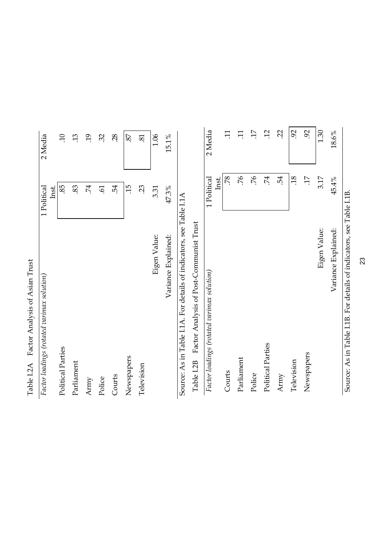| Factor loadings (rotated varimax solution)                           | 1 Political          | 2 Media               |
|----------------------------------------------------------------------|----------------------|-----------------------|
| Political Parties                                                    | 85<br>Inst.          | $\overline{10}$       |
| Parliament                                                           | 83                   | 13                    |
| Army                                                                 | 74                   | $\overline{.19}$      |
| Police                                                               | $\tilde{e}$          | 32                    |
| Courts                                                               | 54                   | 28                    |
| Newspapers                                                           | 15                   | 87                    |
| Television                                                           | 23                   | 81                    |
| Eigen Value:                                                         | 3.31                 | 1.06                  |
| Variance Explained:                                                  | 47.3%                | 15.1%                 |
| Source: As in Table I.1A. For details of indicators, see Table I.1A  |                      |                       |
| Factor Analysis of Post-Communist Trust<br>Table I.2B                |                      |                       |
| Factor loadings (rotated varimax solution)                           | 1 Political<br>Inst. | 2 Media               |
| Courts                                                               | 78                   | $\Xi$                 |
| Parliament                                                           | 76                   | $\Xi$                 |
| Police                                                               | 57.                  | $\overline{17}$       |
| Political Parties                                                    | 74                   | $\overline{12}$       |
| Army                                                                 | 54                   | $\tilde{\mathcal{L}}$ |
| Television                                                           | $\overline{.18}$     | $\mathcal{S}$         |
| Newspapers                                                           | $\ddot{17}$          | $\overline{5}$        |
| Eigen Value:                                                         | 3.17                 | 1.30                  |
| Variance Explained:                                                  | 45.4%                | 18.6%                 |
| Source: As in Table I.1B. For details of indicators, see Table I.1B. |                      |                       |

Table I.2A Factor Analysis of Asian Trust Table I.2A Factor Analysis of Asian Trust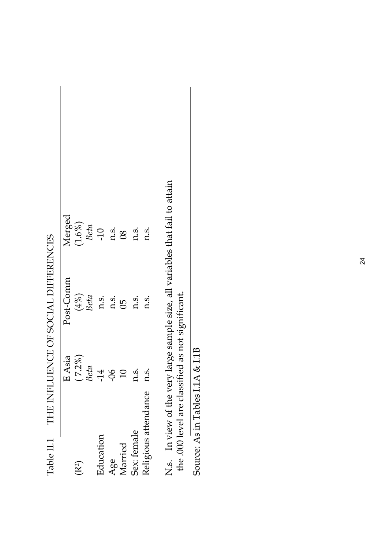|                      |                | Tadie II.I. The IINFLUENCE OF SOCIAL DIFFERENCES |                       |
|----------------------|----------------|--------------------------------------------------|-----------------------|
|                      | E Asia         | Post-Comm                                        | Merged                |
| (R <sup>2</sup> )    | $(7.2\%)$      | $(4\%)$                                          | $(1.6\%)$             |
|                      | Beta           | Beta                                             | Beta                  |
| Education            | $-14$          | n.s.                                             | $-10$                 |
| Age                  | $\frac{90}{5}$ | n.s.                                             | n.s.                  |
| Married              |                | 80                                               | $\overline{\text{8}}$ |
| Sex: female          | n.s.           | n.s.                                             | n.s.                  |
| Religious attendance | n.S.           | n.s.                                             | n.s.                  |
|                      |                |                                                  |                       |

Table II.1 THE INFLUENCE OF SOCIAL DIFFERENCES THE INEITENCE OF COCIAL DIFFERENCE  $T_{\alpha}l_{\alpha}l_{\alpha}$  II 1

N.s. In view of the very large sample size, all variables that fail to attain the .000 level are classified as not significant. N.s. In view of the very large sample size, all variables that fail to attain the .000 level are classified as not significant.

Source: As in Tables I.1A & I.1B Source: As in Tables I.1A & I.1B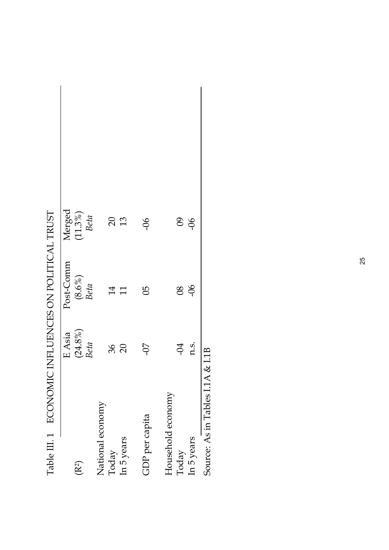|                   | E Asia        | Post-Comm         | Merged          |
|-------------------|---------------|-------------------|-----------------|
| $(\mathbb{R}^2)$  | $(24.8\%)$    | $(8.6\%)$<br>Beta | $(11.3\%)$      |
|                   | Beta          |                   | Beta            |
| National economy  |               |                   |                 |
| Today             |               | $\overline{14}$   | $\Omega$        |
| In 5 years        | $rac{36}{20}$ | 11                | 13              |
| GDP per capita    | 50-           | မြ                | $\frac{90}{5}$  |
| Household economy |               |                   |                 |
| Today             | $-94$         | 80                | $\overline{60}$ |
| In 5 years        | n.s.          | $-06$             | $-06$           |

| <br> <br> <br>                                                      |
|---------------------------------------------------------------------|
| I<br>ı<br>l                                                         |
|                                                                     |
| .<br>1                                                              |
| <br> <br> <br>;<br>;                                                |
| ひききょくりょうく ひはりょうきょうじょう りょうりょくりほ<br>I<br>ı                            |
| I                                                                   |
| $\overline{\phantom{a}}$<br>I<br>١<br>$\overline{\phantom{a}}$<br>I |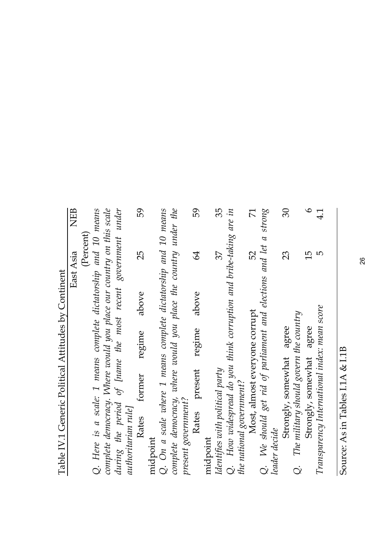| ֚<br>-----------<br>I<br>( |
|----------------------------|
|                            |
| $\frac{1}{2}$              |
| i                          |
|                            |
| こうこうしょう<br>(               |
|                            |
|                            |
| I                          |

NEB East Asia NEB East Asia

(Percent)<br>Q. Here is a scale: 1 means complete dictatorship and 10 means

complete democracy. Where would you place our country on this scale during the period of [name the most recent government under *complete democracy. Where would you place our country on this scale during the period of [name the most recent government under Q. Here is a scale: 1 means complete dictatorship and 10 means* authoritarian rule] *authoritarian rule]*

59 25 59 25 Rates former regime above Rates former regime above

midpoint<br>Q. On a scale where 1 means complete dictatorship and 10 means complete democracy, where would you place the country under the *complete democracy, where would you place the country under the Q. On a scale where 1 means complete dictatorship and 10 means* present government? *present government?*

| 59                       |          | 55                              |                                                                      |                          | $\mathcal{L}$                 |                                                                   |               | ටි                       |                                        | $\mathbf \Omega$         |
|--------------------------|----------|---------------------------------|----------------------------------------------------------------------|--------------------------|-------------------------------|-------------------------------------------------------------------|---------------|--------------------------|----------------------------------------|--------------------------|
| $\overline{\mathcal{A}}$ |          | 37                              |                                                                      |                          | 52                            |                                                                   |               | 23                       |                                        | $\frac{5}{1}$            |
| above                    |          |                                 |                                                                      |                          |                               |                                                                   |               |                          |                                        |                          |
| regime                   |          |                                 |                                                                      |                          |                               |                                                                   |               |                          |                                        |                          |
| present                  |          |                                 |                                                                      |                          | Most, almost everyone corrupt |                                                                   |               | Strongly, somewhat agree |                                        | Strongly, somewhat agree |
| Rates                    | midpoint | Identifies with political party | $Q$ . How widespread do you think corruption and bribe-taking are in | the national government? |                               | Q. We should get rid of parliament and elections and let a strong | leader decide |                          | The military should govern the country |                          |
|                          |          |                                 |                                                                      |                          |                               |                                                                   |               |                          | $\dot{\rm Q}$                          |                          |

Source: As in Tables I.1A & I.1B Source: As in Tables I.1A & I.1B

*Transparency International index: mean score* 5 4.1

Transparency International index: mean score

 $\frac{1}{4}$ 

LŊ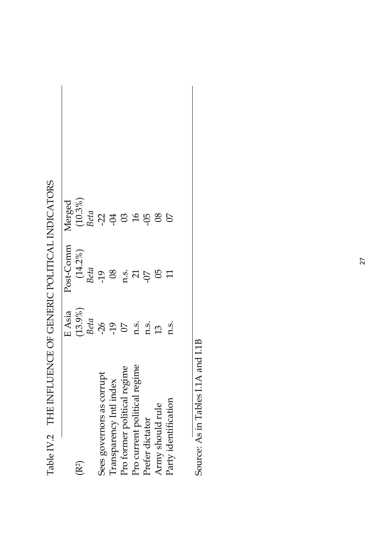|                              | E Asia          | Post-Comm       | Merged             |  |
|------------------------------|-----------------|-----------------|--------------------|--|
| $(\mathsf{R}^2)$             | $(13.9\%)$      |                 |                    |  |
|                              | Beta            | $(14.2\%)$ Beta | $(10.3\%)$<br>Beta |  |
| Sees governors as corrupt    | $-26$           | -19             |                    |  |
| Transparency Intl index      | -19             | $\infty$        | 258                |  |
| Pro former political regime  | $\overline{0}$  | 0.5             |                    |  |
| Pro current political regime | n.s.            | $\overline{21}$ | 16                 |  |
| Prefer dictator              | n.s.            | $-07$           |                    |  |
| Army should rule             | $\overline{13}$ | 05              | 80                 |  |
| Party identification         | n.s.            | $\overline{11}$ | $\overline{C}$     |  |
|                              |                 |                 |                    |  |
|                              |                 |                 |                    |  |

Table IV.2 THE INFLUENCE OF GENERIC POLITICAL INDICATORS Table IV.2 THE INFLUENCE OF GENERIC POLITICAL INDICATORS

Source: As in Tables I.1A and I.1B Source: As in Tables I.1A and I.1B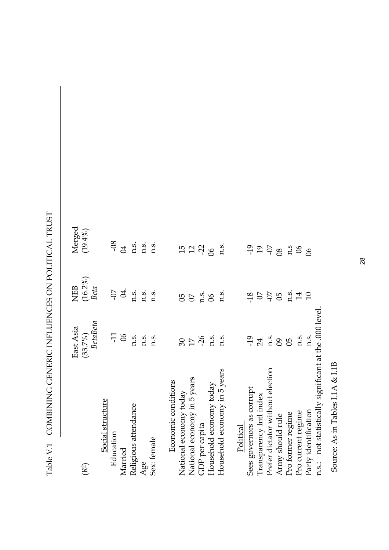| ;<br>(    |                                      | l           |
|-----------|--------------------------------------|-------------|
| <br> <br> |                                      | í<br>ı<br>ı |
|           |                                      | l           |
|           |                                      | í           |
|           |                                      | j<br>)      |
|           | ・・・・・・・・・ りょう ・・・・・・・・・・・・ りょうしょうしょう | l<br>i      |
|           |                                      | ı           |
|           |                                      | I<br>ł      |
|           | ĺ                                    | I<br>l<br>I |

| (R <sup>2</sup> )                                     | BetaBeta<br>East Asia<br>$(33.7\%)$ | $(16.2\%)$<br>NEB<br>Beta | Merged<br>$(19.4\%)$                   |
|-------------------------------------------------------|-------------------------------------|---------------------------|----------------------------------------|
| Social structure<br>Education<br>Married              | $\overline{11}$<br>$\infty$         | $-07$<br>Z.               | $-08$<br>$\beta$                       |
| Religious attendance                                  | n.s.                                | n.s.                      | n.s.                                   |
| Age                                                   | n.s.                                | n.s.                      | n.s.                                   |
| Sex: female                                           | n.s.                                | n.s.                      | n.s.                                   |
| Economic conditions                                   |                                     |                           |                                        |
| National economy today                                |                                     | 50                        |                                        |
| National economy in 5 years                           | $\frac{5}{2}$                       | $\overline{O}$            | $\begin{array}{c} 15 \\ 2 \end{array}$ |
| GDP per capita                                        | $-26$                               | n.s.                      |                                        |
| Household economy today                               | n.s.                                | $\infty$                  | 8 <sup>o</sup>                         |
| Household economy in 5 years                          | n.s.                                | $n_{s}$                   | $n_{\rm s}$                            |
| Political                                             |                                     |                           |                                        |
| Sees governors as corrupt                             | $-19$                               | $-18$                     | $-19$                                  |
| Transparency Intl index                               | 24                                  | $50$                      | $\overline{0}$                         |
| Prefer dictator without election                      | n.s.                                |                           | <b>SO-</b>                             |
| Army should rule                                      | $\overline{60}$                     | 95                        | $\overline{8}$                         |
| Pro former regime                                     | 90                                  | n.s.                      | n.s                                    |
| Pro current regime                                    | n.s.                                | 14                        | $\infty$                               |
| Party identification                                  | n.s.                                | 10                        | 8 <sup>o</sup>                         |
| n.s.: not statistically significant at the .000 level |                                     |                           |                                        |

Source: As in Tables I.1A & I.1B Source: As in Tables I.1A & I.1B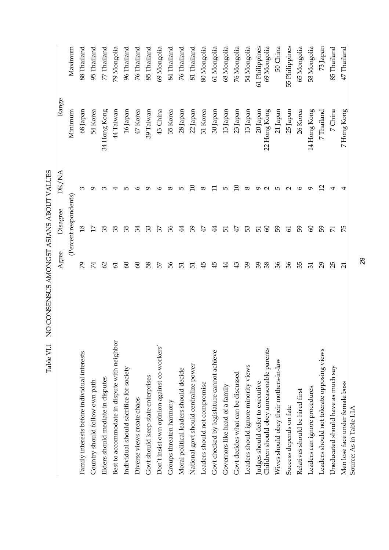|                                              | Agree                    | Disagree              | DK/NA           | Range                                                       |                |
|----------------------------------------------|--------------------------|-----------------------|-----------------|-------------------------------------------------------------|----------------|
|                                              |                          | (Percent respondents) |                 | Minimum                                                     | Maximum        |
| Family interests before individual interests | 29                       | $\frac{8}{10}$        |                 | 68 Japan                                                    | 88 Thailand    |
| Country should follow own path               | $\mathcal{Z}$            | Ħ                     |                 | 54 Korea                                                    | 95 Thailand    |
| Elders should mediate in disputes            | $\mathcal{S}$            | 35                    |                 | 34 Hong Kong                                                | 77 Thailand    |
| Best to accommodate in dispute with neighbor | $\overline{6}$           | 35                    |                 | 44 Taiwan                                                   | 79 Mongolia    |
| Individual should sacrifice for society      | $\infty$                 | 35                    | ഥ               | 16 Japan                                                    | 96 Thailand    |
| Diverse views create chaos                   | 8                        | 34                    |                 | 47 Korea                                                    | 76 Thailand    |
| Govt should keep state enterprises           | 58                       | 33                    |                 | 39 Taiwan                                                   | 85 Thailand    |
| Don't insist own opinion against co-workers' | 57                       | 37                    |                 | 43 China                                                    | 69 Mongolia    |
| Groups threaten harmony                      | 99                       | 36                    | ∞               |                                                             | 84 Thailand    |
| Moral political leaders should decide        | 51                       | $\ddot{4}$            | LO.             |                                                             | 76 Thailand    |
| National govt should centralize power        | 51                       | 39                    |                 | $35~\mathrm{Korea}$ $28~\mathrm{Japan}$ $22~\mathrm{Japan}$ | 81 Thailand    |
| Leaders should not compromise                | $\ddot{+}$               | $\ddot{4}$            | $^{\circ}$      | 31 Korea<br>30 Japan                                        | 80 Mongolia    |
| Govt checked by legislature cannot achieve   | $\ddot{+}$               | 44                    |                 |                                                             | 61 Mongolia    |
| Governors like head of a family              | 4                        | 51                    | Ю               | $13\ \mathrm{Japan}$                                        | 68 Mongolia    |
| Govt decides what can be discussed           | $\mathfrak{P}$           | ŦЬ                    |                 | $23$ Japan                                                  | 76 Mongolia    |
| Leaders should ignore minority views         | 39                       | 53                    | ∞               | $13\!$ Japan                                                | 54 Mongolia    |
| Judges should defer to executive             | 39                       | 51                    |                 | $20\,\mathrm{Japan}$                                        | 61 Philippines |
| Children should obey unreasonable parents    | 38                       | 8                     |                 | 22 Hong Kong                                                | 69 Mongolia    |
| Wives should obey their mothers-in-law       | 36                       | 59                    | 5               | $21\ \mathrm{Japan}$                                        | 50 China       |
| Success depends on fate                      | $\mathcal{E}$            | 61                    | $\mathbf{\sim}$ | 25 Japan                                                    | 55 Philippines |
| Relatives should be hired first              | 35                       | 59                    | ७               | 26 Korea                                                    | 65 Mongolia    |
| Leaders can ignore procedures                | $\overline{\mathcal{E}}$ | $\infty$              |                 | 14 Hong Kong                                                | 58 Mongolia    |
| Leaders should not tolerate opposing views   | $\mathcal{S}$            | 59                    | ⊴               | 7 Thailand                                                  | 73 Japan       |
| Uneducated should have as much say           | 25                       | И                     |                 | 7 China                                                     | 85 Thailand    |
| Men lose face under female boss              | ನ                        | 52                    |                 | 7 Hong Kong                                                 | 47 Thailand    |
| Source: As in Table I.1A                     |                          |                       |                 |                                                             |                |

29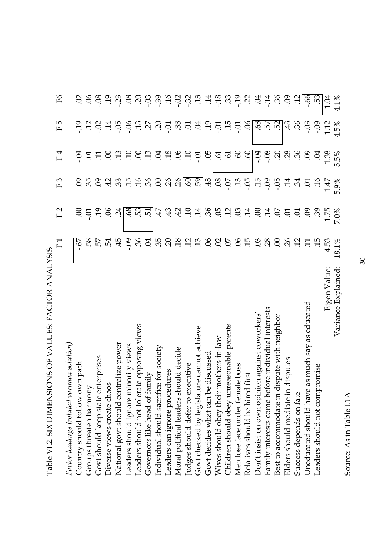| ١<br>l<br>ı                 |
|-----------------------------|
| ١<br>)<br>}<br>}            |
|                             |
| こんしょう ひょうしょうしょう しょうりょう<br>ı |
| ł                           |
| ׇ֚֘֝                        |
| ı<br>ı                      |

|                                                   | $\overline{\phantom{0}}$<br>$\mathbb{L}$ | F2              | F3                       | F4                  | rU<br>$\mathbf{L}$       | Ъб              |
|---------------------------------------------------|------------------------------------------|-----------------|--------------------------|---------------------|--------------------------|-----------------|
| Factor loadings (rotated varimax solution)        |                                          |                 |                          |                     |                          |                 |
| Country should follow own path                    | -.67                                     | S               | S.                       | $-0.1$              |                          | S               |
| Groups threaten harmony                           |                                          | Ξ.              | 35                       |                     | $\ddot{a}$ as $\ddot{a}$ | 90.             |
| Govt should keep state enterprises                | <u>và và</u>                             | $\ddot{5}$      | 60                       | 드 드                 |                          | $-0.8$          |
| Diverse views create chaos                        | $\dot{5}$                                | S.              | 42                       | S.                  | $\ddot{5}$               | $\ddot{5}$      |
| tralize power<br>National govt should cent        | 45                                       | $\ddot{c}$      | 33                       | 7.9897888           | $-0.5$                   | $-23$           |
| Leaders should ignore minority views              | $-0.09$                                  | 89              | $\ddot{5}$               |                     |                          |                 |
| Leaders should not tolerate opposing views        | $\ddot{S}6$                              | .53<br>51       | $9L$ -                   |                     |                          |                 |
| Governors like head of family                     | S.                                       |                 | 36                       |                     | $-0.59$                  |                 |
| e for society<br>Individual should sacrific       |                                          | 47              | $\odot$                  |                     |                          |                 |
| Leaders can ignore procedures                     |                                          | 43              | 26                       |                     |                          |                 |
| Moral political leaders should decide             |                                          | 42              | $\overline{\mathcal{S}}$ |                     | $-33$                    |                 |
| Judges should defer to executive                  |                                          | $\Xi$           | $rac{60}{59}$            | $\overline{10}$     |                          |                 |
| Govt checked by legislature cannot achieve        |                                          | $\overline{14}$ |                          | $-0$ .              | <u>s</u> g s             | 8.8889999999777 |
| discussed<br>Govt decides what can be             |                                          | $\ddot{36}$     | $\ddot{3}$               | SO.                 |                          |                 |
| Wives should obey their mothers-in-law            | $-02$                                    | 50.             | $\overline{6}$           |                     | $-0.7$                   | $-18$           |
| Children should obey unreasonable parents         | $\overline{5}$                           | $\ddot{c}$      | $-0.75$                  | 6.60                | $\ddot{5}$               | 39.58           |
| Men lose face under female boss                   |                                          | S.              |                          |                     | io.                      |                 |
| Relatives should be hired first                   |                                          | $\overline{14}$ | $-0.5$                   | 60                  | S.                       |                 |
| Don't insist on own opinion against coworkers'    | 8.58                                     | $\mathcal{S}$   | $\ddot{5}$               | $-0.4$              |                          | 3.74<br>3.74    |
| Family interests come before individual interests |                                          | $\ddot{14}$     | $-0.5$                   |                     |                          |                 |
| Best to accommodate in dispute with neighbor      | S                                        | 0               | $-0.5$                   | $\ddot{5}$          | .57<br>52<br>52          |                 |
| disputes<br>Elders should mediate in              | $\overline{56}$                          | S.              | .14                      | 28                  | 43                       | $-0.5$          |
| Success depends on fate                           | $\ddot{5}$                               | $\overline{C}$  | $\ddot{3}$               | 36                  | $\mathcal{S}$            | $-12$           |
| Uneducated should have as much say as educated    | $\Xi$                                    | 60              | E.                       | $\ddot{\mathrm{e}}$ | $-03$                    | $-66$           |
| romise<br>Leaders should not comp                 | $\ddot{5}$                               | 65              | 9L.                      | Ź.                  | $-0.09$                  | 53              |
| Eigen Value:                                      | 4.53                                     | 1.75            | 1.47                     | 1.38                | 1.12                     | 1.04            |
| Variance Explained:                               | 18.1%                                    | 7.0%            | 5.9%                     | 5.5%                | 4.5%                     | 4.1%            |

Source: As in Table I.1A Source: As in Table I.1A

30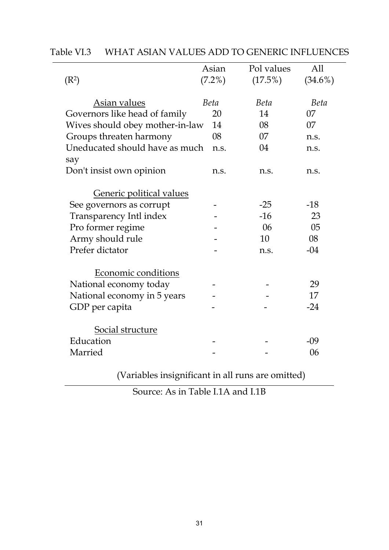|                                       | Asian  | Pol values | All        |
|---------------------------------------|--------|------------|------------|
| (R <sup>2</sup> )                     | (7.2%) | (17.5%)    | $(34.6\%)$ |
| Asian values                          | Beta   | Beta       | Beta       |
| Governors like head of family         | 20     | 14         | 07         |
| Wives should obey mother-in-law       | 14     | 08         | 07         |
| Groups threaten harmony               | 08     | 07         | n.s.       |
| Uneducated should have as much<br>say | n.s.   | 04         | n.s.       |
| Don't insist own opinion              | n.s.   | n.s.       | n.s.       |
| <b>Generic political values</b>       |        |            |            |
| See governors as corrupt              |        | $-25$      | $-18$      |
| Transparency Intl index               |        | $-16$      | 23         |
| Pro former regime                     |        | 06         | 05         |
| Army should rule                      |        | 10         | 08         |
| Prefer dictator                       |        | n.s.       | $-04$      |
| Economic conditions                   |        |            |            |
| National economy today                |        |            | 29         |
| National economy in 5 years           |        |            | 17         |
| GDP per capita                        |        |            | $-24$      |
| Social structure                      |        |            |            |
| Education                             |        |            | $-09$      |
| Married                               |        |            | 06         |
|                                       |        |            |            |

|--|

(Variables insignificant in all runs are omitted)

Source: As in Table I.1A and I.1B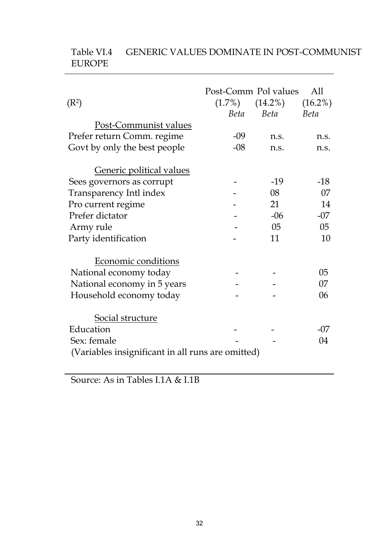| (R <sup>2</sup> )                                 | Post-Comm Pol values<br>$(1.7\%)$<br>Beta | $(14.2\%)$<br>Beta | All<br>$(16.2\%)$<br>Beta |
|---------------------------------------------------|-------------------------------------------|--------------------|---------------------------|
| Post-Communist values                             |                                           |                    |                           |
| Prefer return Comm. regime                        | $-09$                                     | n.s.               | n.s.                      |
| Govt by only the best people                      | $-08$                                     | n.s.               | n.s.                      |
| Generic political values                          |                                           |                    |                           |
| Sees governors as corrupt                         |                                           | $-19$              | $-18$                     |
| Transparency Intl index                           |                                           | 08                 | 07                        |
| Pro current regime                                |                                           | 21                 | 14                        |
| Prefer dictator                                   |                                           | $-06$              | $-07$                     |
| Army rule                                         |                                           | 05                 | $05\,$                    |
| Party identification                              |                                           | 11                 | 10                        |
| Economic conditions                               |                                           |                    |                           |
| National economy today                            |                                           |                    | 05                        |
| National economy in 5 years                       |                                           |                    | 07                        |
| Household economy today                           |                                           |                    | 06                        |
| Social structure                                  |                                           |                    |                           |
| Education                                         |                                           |                    | $-07$                     |
| Sex: female                                       |                                           |                    | 04                        |
| (Variables insignificant in all runs are omitted) |                                           |                    |                           |

## Table VI.4 GENERIC VALUES DOMINATE IN POST-COMMUNIST EUROPE

Source: As in Tables I.1A & I.1B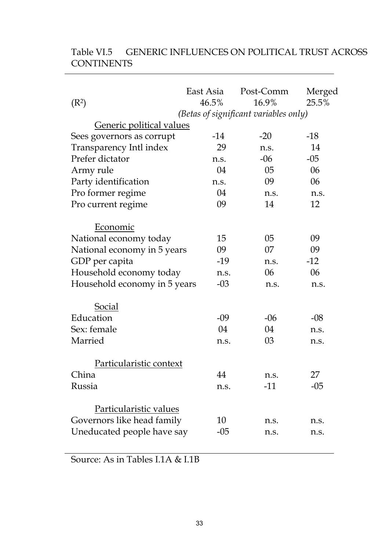| (R <sup>2</sup> )                                    | East Asia<br>46.5% | Post-Comm<br>16.9%<br>(Betas of significant variables only) | Merged<br>25.5% |
|------------------------------------------------------|--------------------|-------------------------------------------------------------|-----------------|
| Generic political values                             |                    |                                                             |                 |
| Sees governors as corrupt                            | $-14$              | $-20$                                                       | $-18$           |
| Transparency Intl index                              | 29                 | n.s.                                                        | 14              |
| Prefer dictator                                      | n.s.               | $-06$                                                       | $-05$           |
| Army rule                                            | 04                 | 05                                                          | 06              |
| Party identification                                 | n.s.               | 09                                                          | 06              |
| Pro former regime                                    | 04                 | n.s.                                                        | n.s.            |
| Pro current regime                                   | 09                 | 14                                                          | 12              |
| Economic                                             |                    |                                                             |                 |
| National economy today                               | 15                 | 05                                                          | 09              |
| National economy in 5 years                          | 09                 | 07                                                          | 09              |
| GDP per capita                                       | $-19$              | n.s.                                                        | $-12$           |
| Household economy today                              | n.s.               | 06                                                          | 06              |
| Household economy in 5 years                         | $-03$              | n.s.                                                        | n.s.            |
| <b>Social</b>                                        |                    |                                                             |                 |
| Education                                            | $-09$              | $-06$                                                       | $-08$           |
| Sex: female                                          | 04                 | 04                                                          | n.s.            |
| Married                                              | n.s.               | 03                                                          | n.s.            |
| Particularistic context                              |                    |                                                             |                 |
| China                                                | 44                 | n.s.                                                        | 27              |
| Russia                                               | n.s.               | $-11$                                                       | $-05$           |
| Particularistic values<br>Governors like head family | 10                 | n.s.                                                        | n.s.            |
| Uneducated people have say                           | $-05$              | n.s.                                                        | n.s.            |
|                                                      |                    |                                                             |                 |

# Table VI.5 GENERIC INFLUENCES ON POLITICAL TRUST ACROSS **CONTINENTS**

Source: As in Tables I.1A & I.1B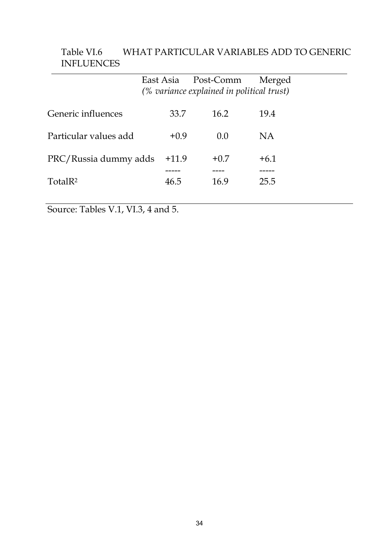|                       |         | East Asia Post-Comm                       | Merged |  |
|-----------------------|---------|-------------------------------------------|--------|--|
|                       |         | (% variance explained in political trust) |        |  |
| Generic influences    | 33.7    | 16.2                                      | 19.4   |  |
| Particular values add | $+0.9$  | 0.0                                       | NA     |  |
| PRC/Russia dummy adds | $+11.9$ | $+0.7$                                    | $+6.1$ |  |
| TotalR <sup>2</sup>   | 46.5    | 16.9                                      | 25.5   |  |
|                       |         |                                           |        |  |

## Table VI.6 WHAT PARTICULAR VARIABLES ADD TO GENERIC INFLUENCES

Source: Tables V.1, VI.3, 4 and 5.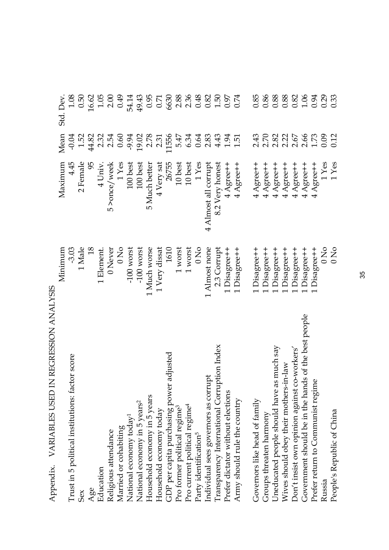| $\sum_{i=1}^{k} \sum_{j=1}^{k} \sum_{j=1}^{k} \sum_{j=1}^{k} \sum_{j=1}^{k} \sum_{j=1}^{k} \sum_{j=1}^{k} \sum_{j=1}^{k} \sum_{j=1}^{k} \sum_{j=1}^{k} \sum_{j=1}^{k} \sum_{j=1}^{k} \sum_{j=1}^{k} \sum_{j=1}^{k} \sum_{j=1}^{k} \sum_{j=1}^{k} \sum_{j=1}^{k} \sum_{j=1}^{k} \sum_{j=1}^{k} \sum_{j=1}^{k} \sum_{j=1}^{k} \sum_{j=1}^{k}$ |                |                      |                  |              |
|---------------------------------------------------------------------------------------------------------------------------------------------------------------------------------------------------------------------------------------------------------------------------------------------------------------------------------------------|----------------|----------------------|------------------|--------------|
|                                                                                                                                                                                                                                                                                                                                             | Minimum        | Maximum              | Mean             | Std. Dev.    |
| Trust in 5 political institutions: factor score                                                                                                                                                                                                                                                                                             | $-3.03$        | 4.45                 | $-0.04$          | 1.08         |
| Sex                                                                                                                                                                                                                                                                                                                                         | 1 Male         | 2 Female             | 1.52             | 0.50         |
| Age                                                                                                                                                                                                                                                                                                                                         | $\frac{18}{2}$ | 95                   | 44.82            | 16.62        |
| Education                                                                                                                                                                                                                                                                                                                                   | 1 Element.     | 4 Univ.              | 2.32             | 1.05         |
| Religious attendance                                                                                                                                                                                                                                                                                                                        | $0$ Never      | 5 > once/week        | 2.54             | 2.00         |
| Married or cohabiting                                                                                                                                                                                                                                                                                                                       | 0 <sub>N</sub> | $1$ Yes              | 0.60             | 0.49         |
| National economy today <sup>1</sup>                                                                                                                                                                                                                                                                                                         | $-100$ worst   | 100 best             | $-9.94$          | 54.14        |
| National economy in 5 years <sup>2</sup>                                                                                                                                                                                                                                                                                                    | $-100$ worst   | 100 best             | 19.02            | 49.43        |
| Household economy in 5 years                                                                                                                                                                                                                                                                                                                | 1 Much worse   | 5 Much better        | 2.78             | 0.95         |
| Household economy today                                                                                                                                                                                                                                                                                                                     | 1 Very dissat  | 4 Very sat           | 2.31             | 0.71         |
| GDP per capita purchasing power adjusted                                                                                                                                                                                                                                                                                                    | 1610           | 26755                | .1556            | 6630         |
| Pro former political regime <sup>3</sup>                                                                                                                                                                                                                                                                                                    | 1 worst        | 10 best              | 5.47             | 2.88         |
| Pro current political regime <sup>4</sup>                                                                                                                                                                                                                                                                                                   | 1 worst        | 10 best              | 6.34             | 2.36         |
| Party identification <sup>5</sup>                                                                                                                                                                                                                                                                                                           | 0 <sub>N</sub> | $1\,{\rm Yes}$       | 0.64             | 0.48         |
| Individual sees governors as corrupt                                                                                                                                                                                                                                                                                                        | 1 Almost none  | 4 Almost all corrupt | 2.83             | 0.82         |
| Transparency International Corruption Index                                                                                                                                                                                                                                                                                                 | 2.3 Corrupt    | 8.2 Very honest      | 4.43             | 1.50         |
| Prefer dictator without elections                                                                                                                                                                                                                                                                                                           | 1 Disagree++   | $4$ Agree++          | 1.94             | 0.97<br>0.74 |
| Army should rule the country                                                                                                                                                                                                                                                                                                                | 1 Disagree++   | 4 Agree++            | 1.51             |              |
| Governors like head of family                                                                                                                                                                                                                                                                                                               | 1 Disagree++   | 4 Agree++            | 2.43             | 0.85         |
| Groups threaten harmony                                                                                                                                                                                                                                                                                                                     | 1 Disagree++   | 4 Agree++            | 2.70             | 0.86         |
| Uneducated people should have as much say                                                                                                                                                                                                                                                                                                   | 1 Disagree++   | $4$ Agree++          | 2.82             | 0.88         |
| Wives should obey their mothers-in-law                                                                                                                                                                                                                                                                                                      | Disagree++     | 4 Agree++            | 2.22             | 0.88         |
| Don't insist own opinion against co-workers'                                                                                                                                                                                                                                                                                                | 1 Disagree++   | 4 Agree++            | $2.67$<br>$2.66$ | 0.82         |
| Government should be in the hands of the best people                                                                                                                                                                                                                                                                                        | 1 Disagree++   | 4 Agree++            |                  | 1.06         |
| Prefer return to Communist regime                                                                                                                                                                                                                                                                                                           | Disagree++     | 4 Agree++            | $1.73\,$         | 0.94         |
| Russia                                                                                                                                                                                                                                                                                                                                      | 0 <sub>N</sub> | $1$ Yes              | 0.09             | 0.29         |
| People's Republic of China                                                                                                                                                                                                                                                                                                                  | 0 <sub>N</sub> | 1 Yes                | 0.12             | 0.33         |

Appendix. VARIABLES USED IN REGRESSION ANALYSIS Appendix. VARIABLES USED IN REGRESSION ANALYSIS